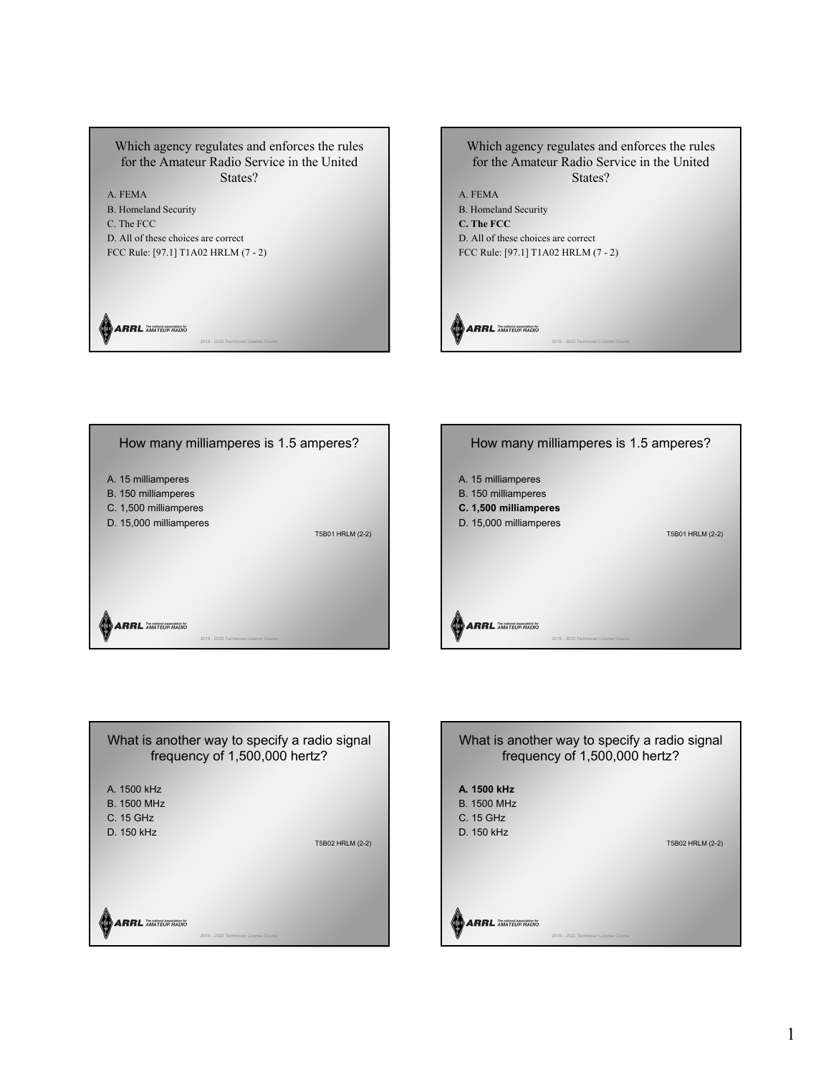Which agency regulates and enforces the rules for the Amateur Radio Service in the United States? A. FEMA B. Homeland Security C. The FCC D. All of these choices are correct FCC Rule: [97.1] T1A02 HRLM (7 - 2) **ARRL** AMATEUR RADIO

2018 - 2022 Technician License Course









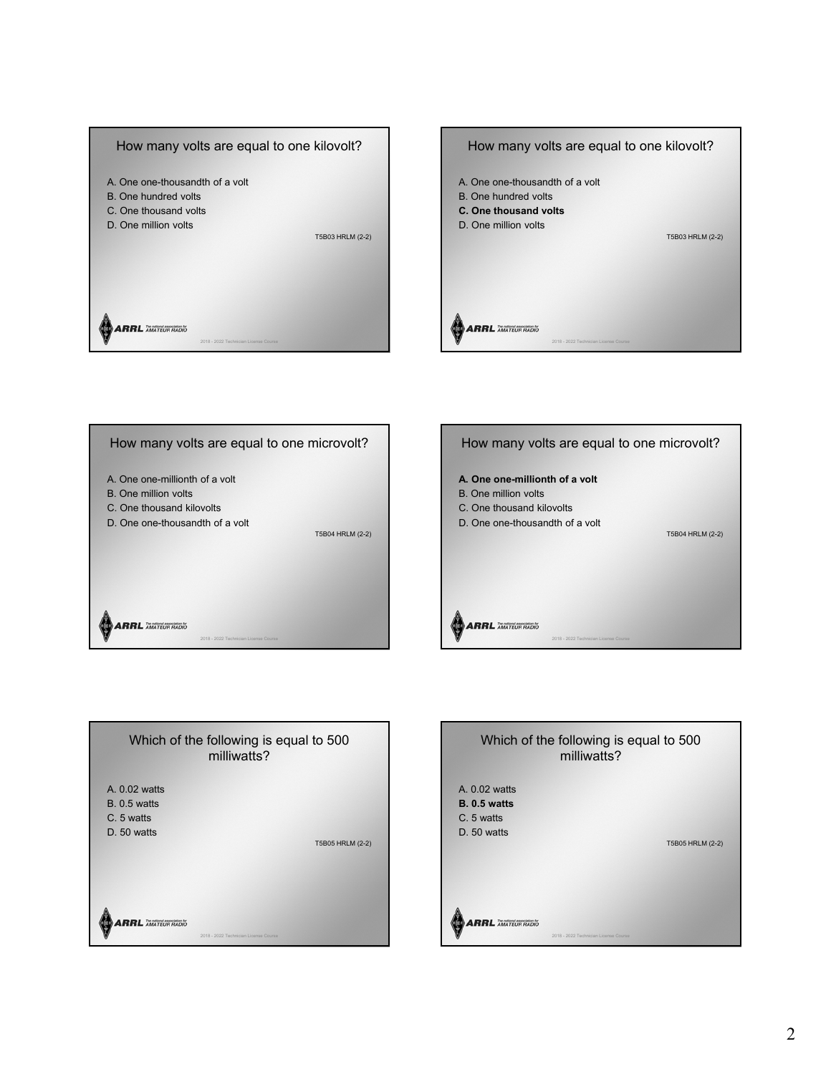







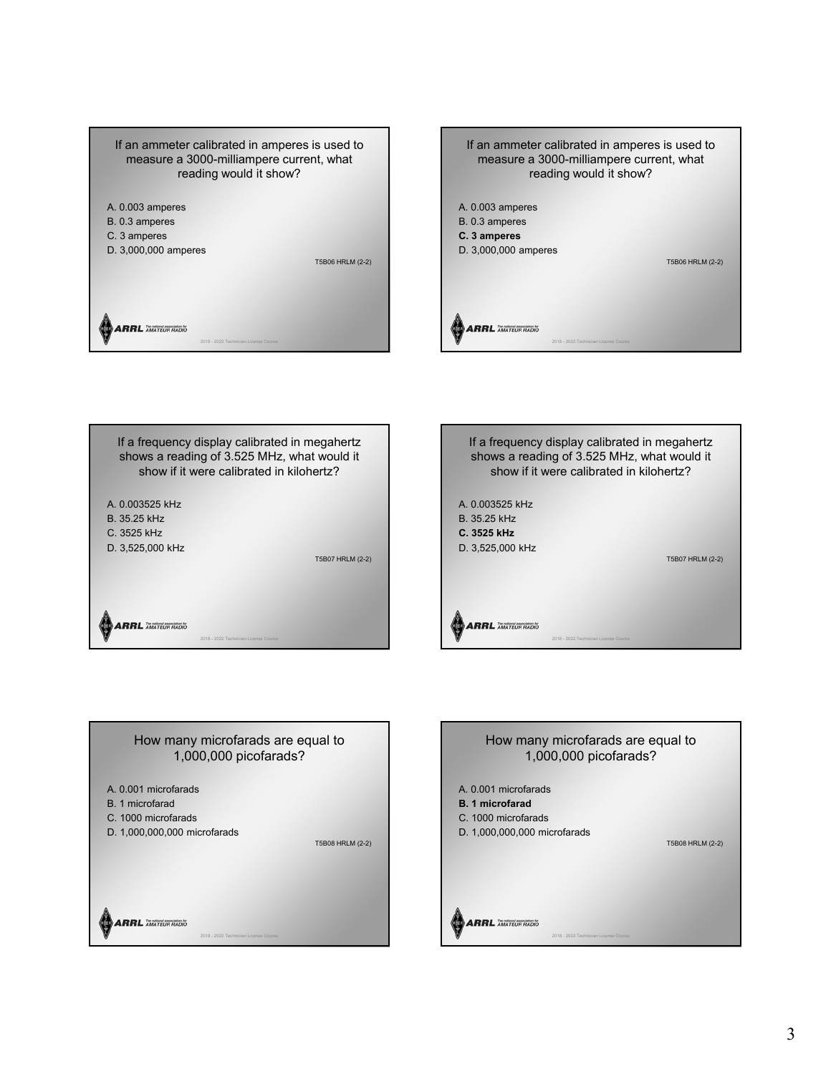



If a frequency display calibrated in megahertz shows a reading of 3.525 MHz, what would it show if it were calibrated in kilohertz? A. 0.003525 kHz B. 35.25 kHz C. 3525 kHz D. 3,525,000 kHz T5B07 HRLM (2-2) **ARRL** AMATEUR RADIO  $2018 - 2022$  Te





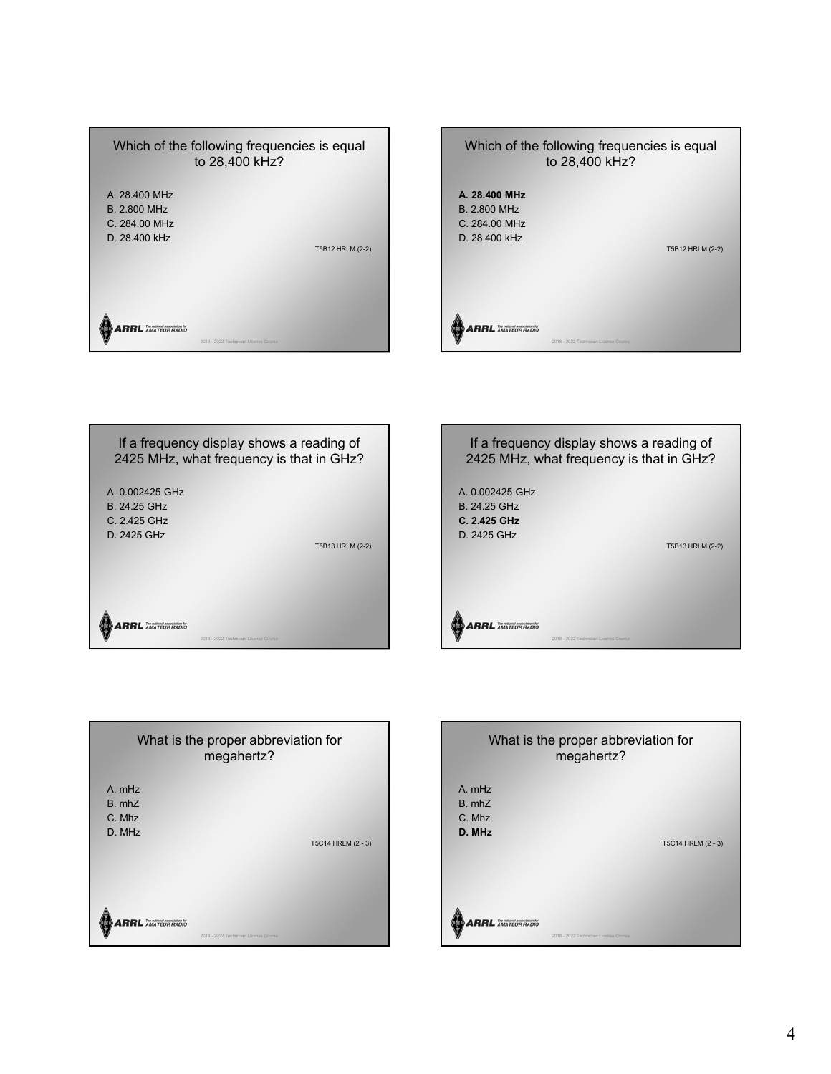







| What is the proper abbreviation for<br>megahertz? |                                       |
|---------------------------------------------------|---------------------------------------|
| A. mHz<br>$B.$ mh $Z$<br>C. Mhz<br>D. MHz         | T5C14 HRLM (2 - 3)                    |
| <b>ARRL</b>                                       | 2018 - 2022 Technician License Course |

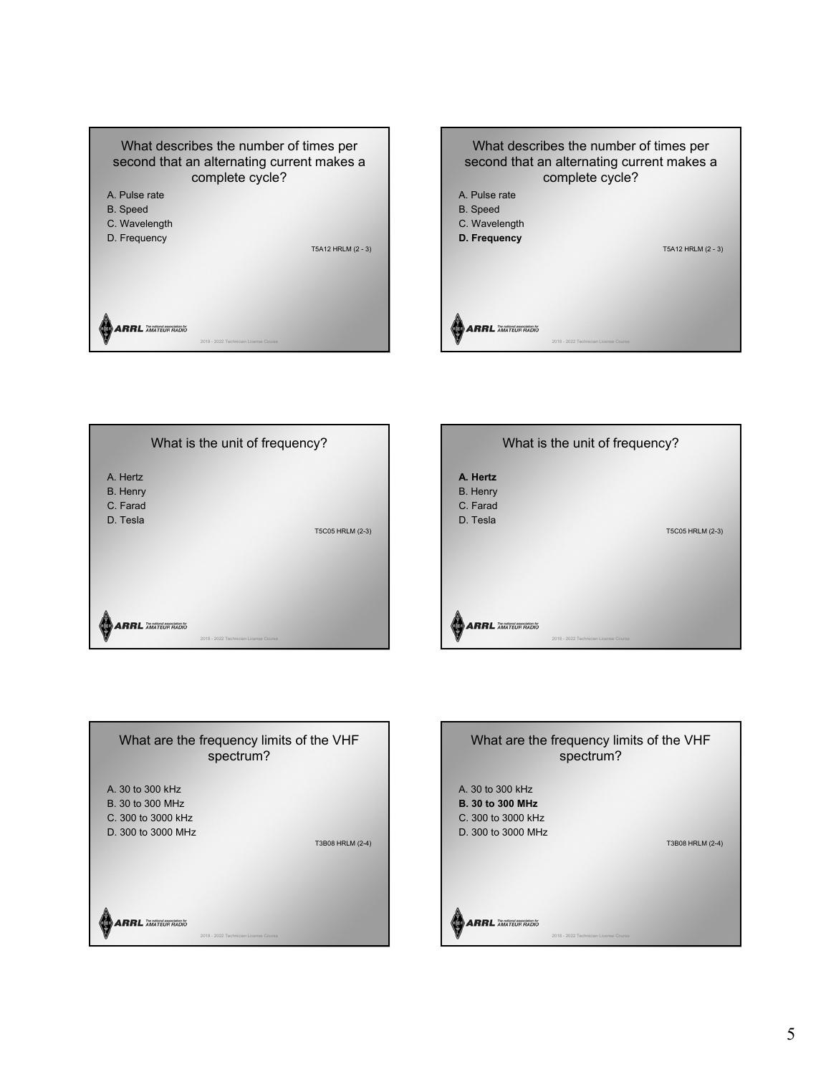









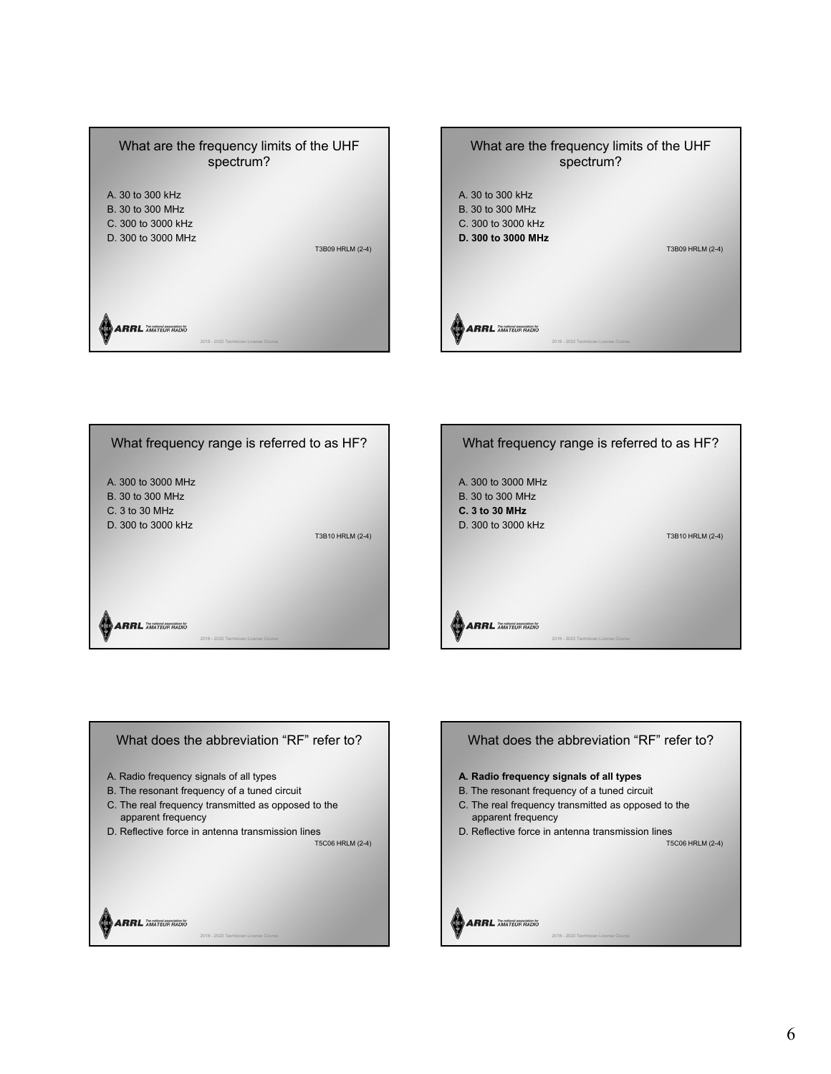









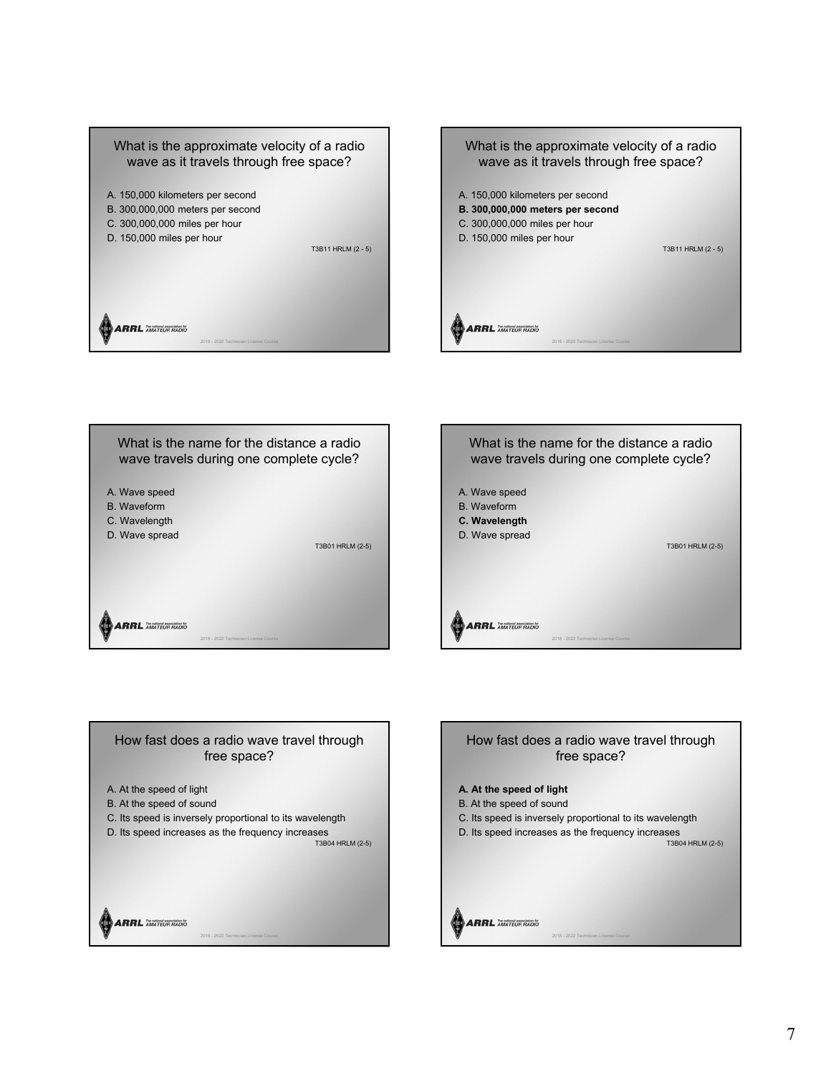









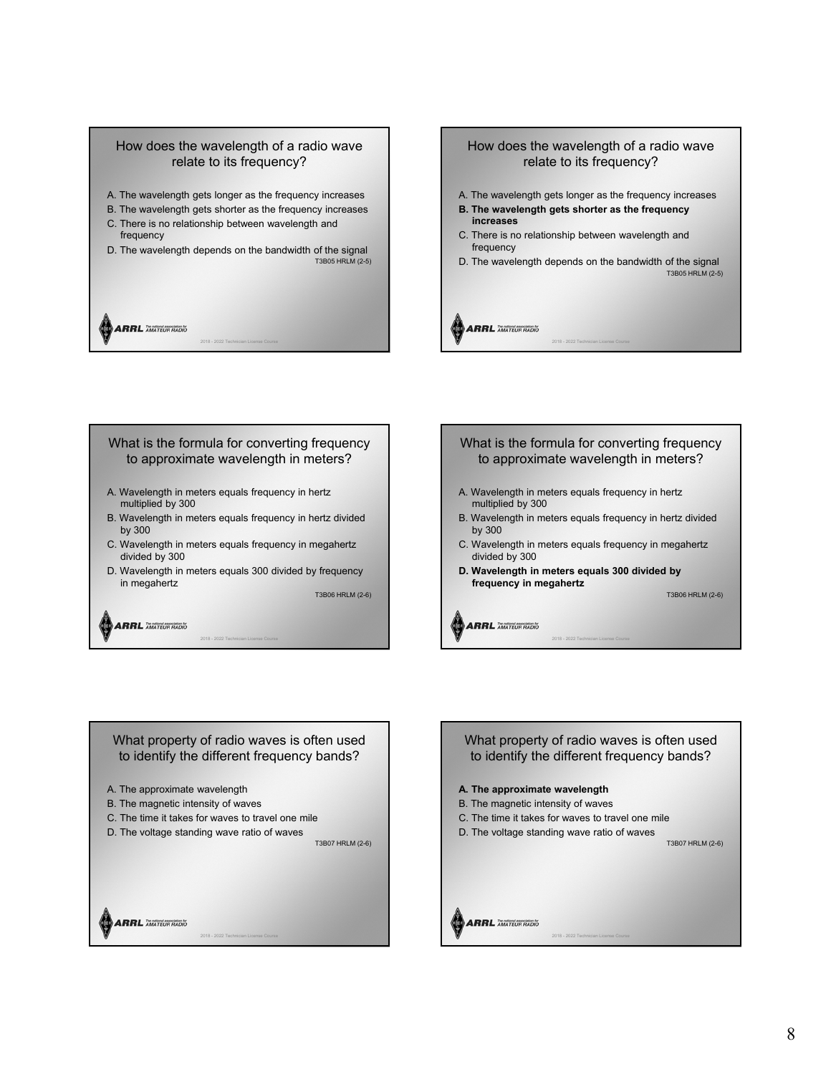# A. The wavelength gets longer as the frequency increases How does the wavelength of a radio wave relate to its frequency?

- 
- B. The wavelength gets shorter as the frequency increases
- C. There is no relationship between wavelength and frequency
- D. The wavelength depends on the bandwidth of the signal T3B05 HRLM (2-5)

2018 - 2022 Technician License Course

**ARRL AMATEUR RADIO** 

## How does the wavelength of a radio wave relate to its frequency?

- A. The wavelength gets longer as the frequency increases
- **B. The wavelength gets shorter as the frequency increases**
- C. There is no relationship between wavelength and frequency

**ARRL AMATEUR RADIO** 

**ARRL AMATEUR RADIO** 

D. The wavelength depends on the bandwidth of the signal T3B05 HRLM (2-5)

2018 - 2022 Technician License Course

## What is the formula for converting frequency to approximate wavelength in meters?

- A. Wavelength in meters equals frequency in hertz multiplied by 300
- B. Wavelength in meters equals frequency in hertz divided by 300
- C. Wavelength in meters equals frequency in megahertz divided by 300
- D. Wavelength in meters equals 300 divided by frequency in megahertz

2018 - 2022 Technician License Course

T3B06 HRLM (2-6)

## **ARRL** AMATEUR RADIO

## What is the formula for converting frequency to approximate wavelength in meters?

- A. Wavelength in meters equals frequency in hertz multiplied by 300
- B. Wavelength in meters equals frequency in hertz divided by 300

2018 - 2022 Technician License Course

- C. Wavelength in meters equals frequency in megahertz divided by 300
- **D. Wavelength in meters equals 300 divided by frequency in megahertz**

T3B06 HRLM (2-6)

A. The approximate wavelength B. The magnetic intensity of waves C. The time it takes for waves to travel one mile D. The voltage standing wave ratio of waves What property of radio waves is often used to identify the different frequency bands?

T3B07 HRLM (2-6)

**ARRL AMATEUR RADIO** 

# **A. The approximate wavelength** B. The magnetic intensity of waves C. The time it takes for waves to travel one mile D. The voltage standing wave ratio of waves T3B07 HRLM (2-6) What property of radio waves is often used to identify the different frequency bands?

**ARRL AMATEUR RADIO** 2018 - 2022 Technician License Course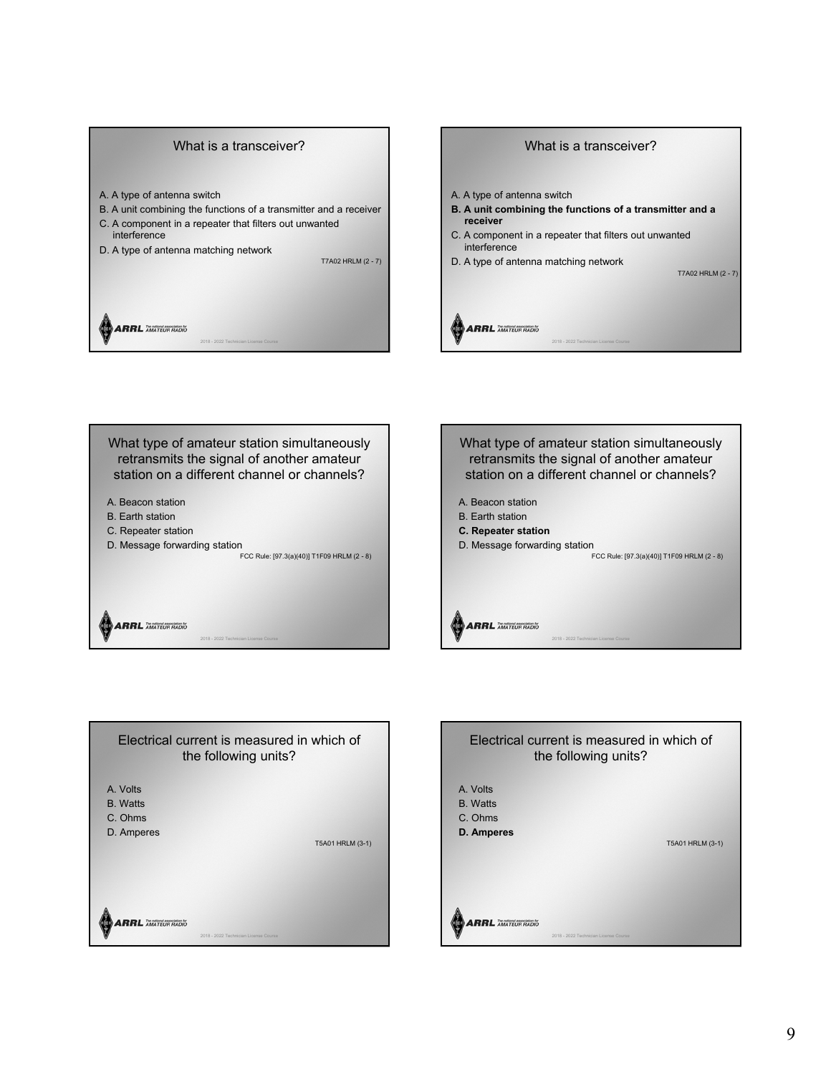#### What is a transceiver?

- A. A type of antenna switch
- B. A unit combining the functions of a transmitter and a receiver
- C. A component in a repeater that filters out unwanted interference
- D. A type of antenna matching network

T7A02 HRLM (2 - 7)

**ARRL AMATEUR RADIO** 



What type of amateur station simultaneously retransmits the signal of another amateur station on a different channel or channels?

2018 - 2022 Technician License Course

- A. Beacon station
- B. Earth station
- C. Repeater station
- D. Message forwarding station

FCC Rule: [97.3(a)(40)] T1F09 HRLM (2 - 8)

2018 - 2022 Technician License Course





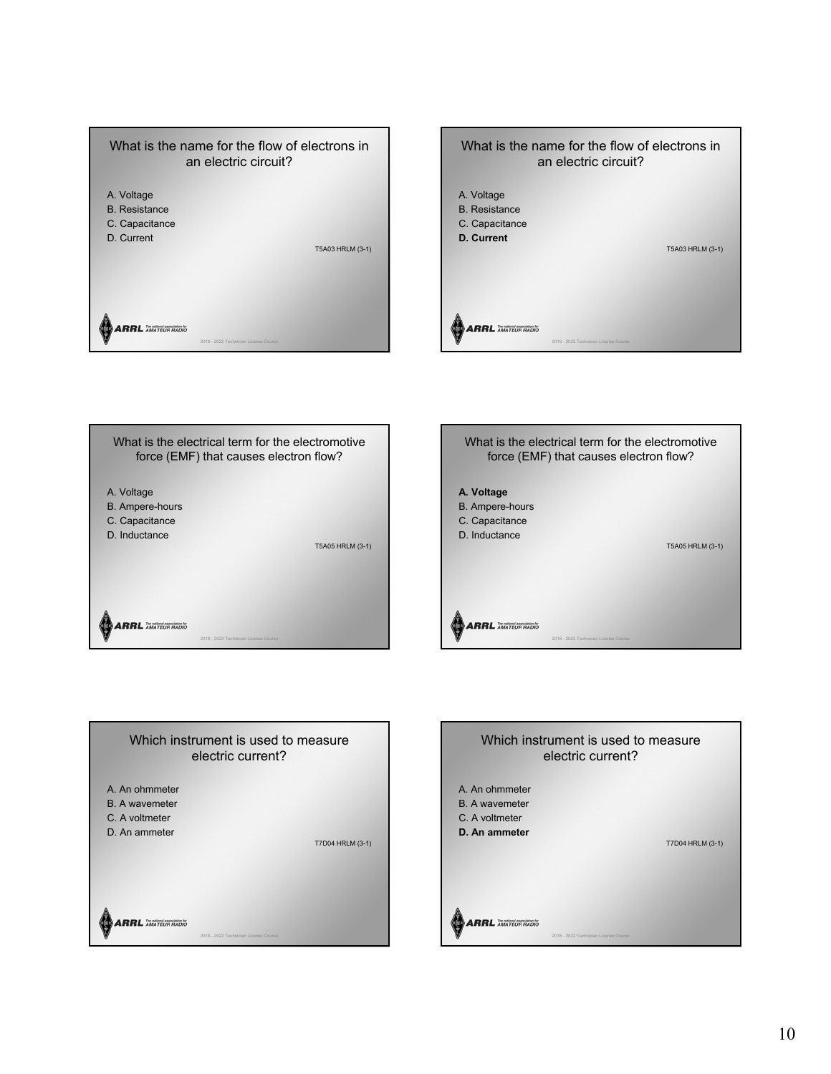









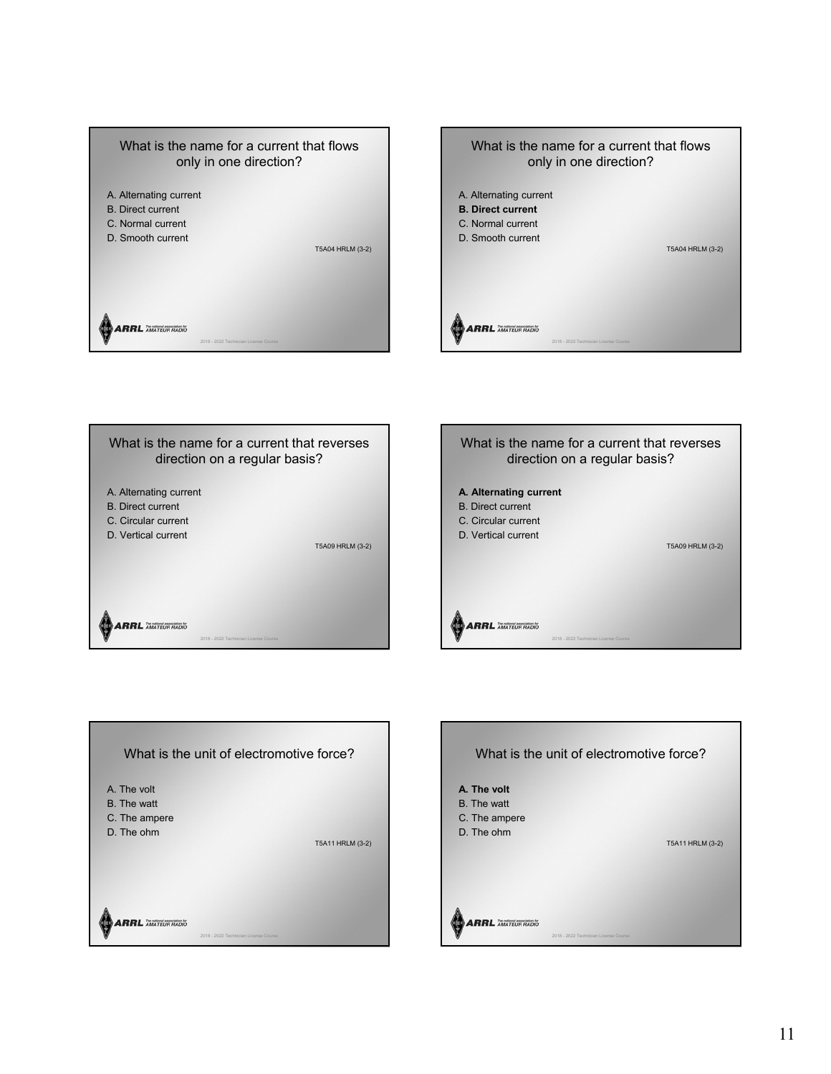









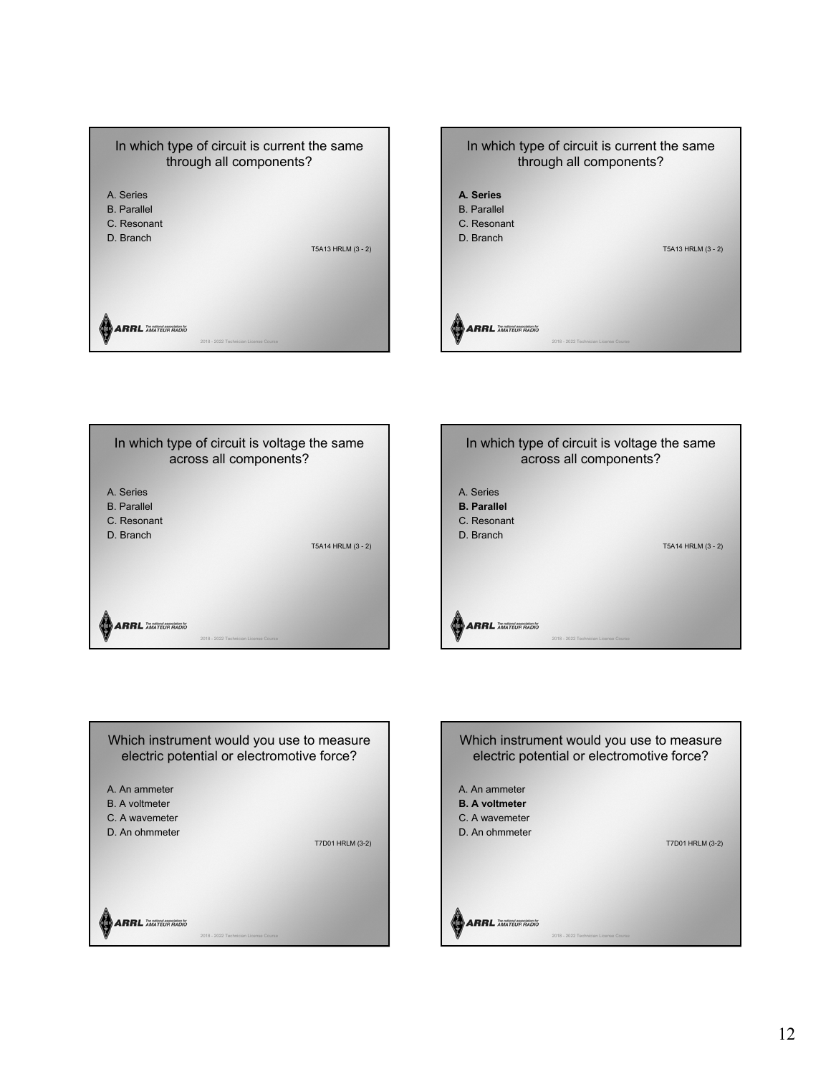









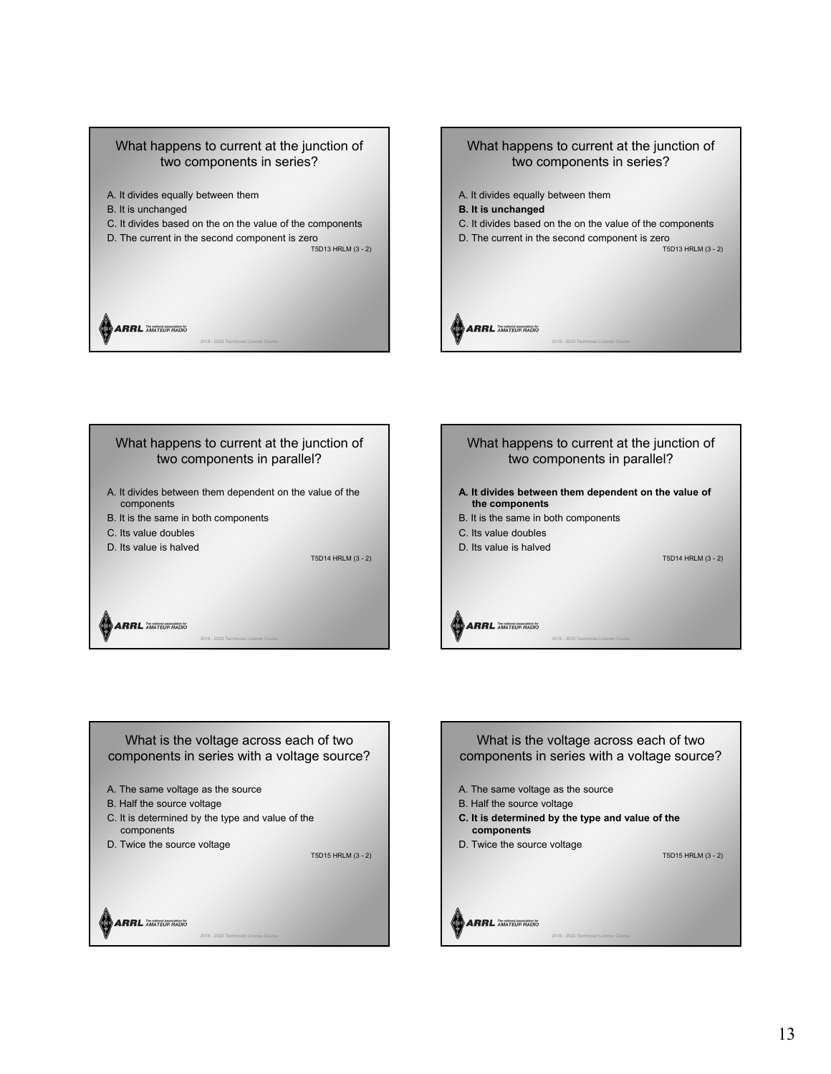# What happens to current at the junction of two components in series?

- A. It divides equally between them
- B. It is unchanged
- C. It divides based on the on the value of the components

2018 - 2022 Technician License Course

D. The current in the second component is zero

T5D13 HRLM (3 - 2)









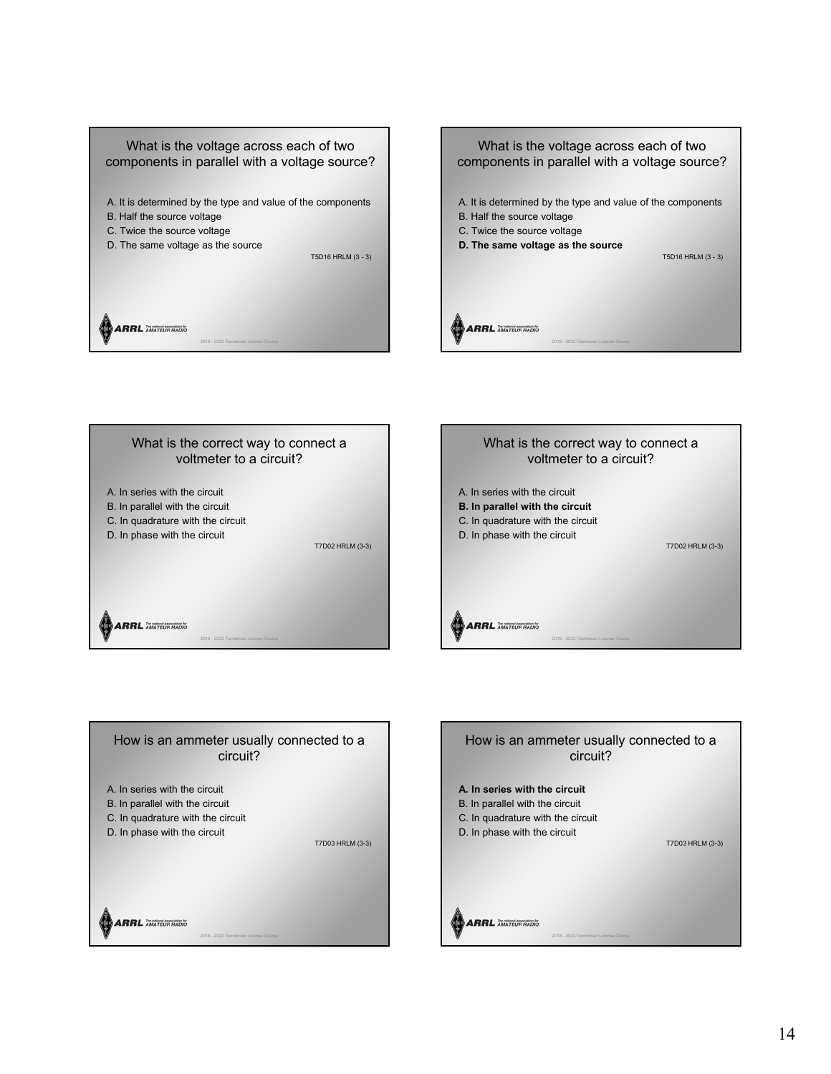









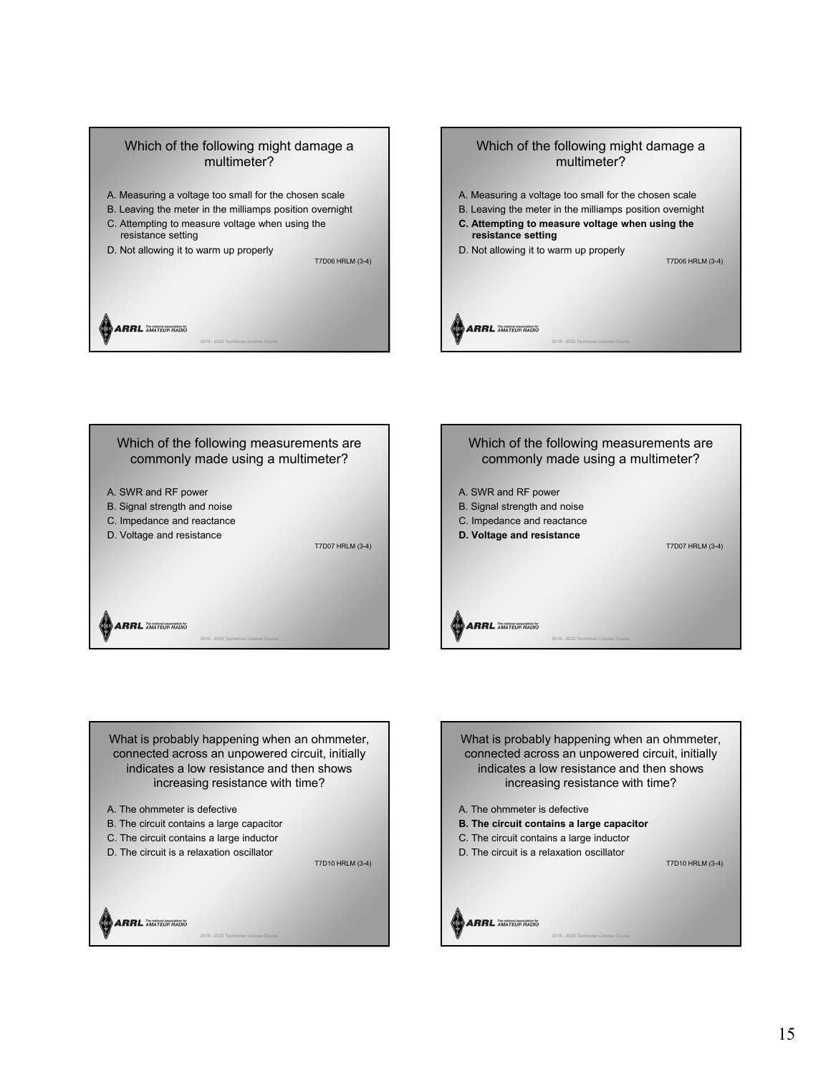



What is probably happening when an ohmmeter, connected across an unpowered circuit, initially indicates a low resistance and then shows increasing resistance with time?

T7D10 HRLM (3-4)

- A. The ohmmeter is defective
- B. The circuit contains a large capacitor
- C. The circuit contains a large inductor

D. The circuit is a relaxation oscillator

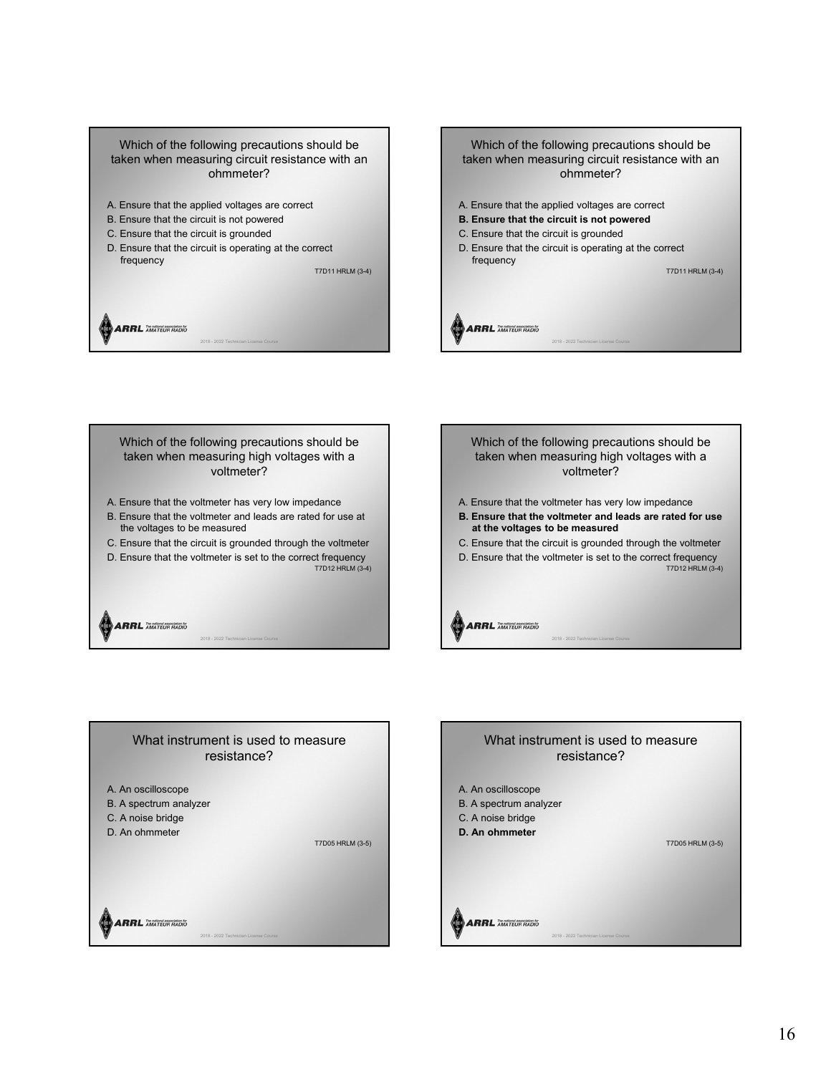

Which of the following precautions should be taken when measuring high voltages with a voltmeter?

- A. Ensure that the voltmeter has very low impedance
- B. Ensure that the voltmeter and leads are rated for use at the voltages to be measured
- C. Ensure that the circuit is grounded through the voltmeter
- D. Ensure that the voltmeter is set to the correct frequency T7D12 HRLM (3-4)

2018 - 2022 Technician License Course

**ARRL** AMATEUR RADIO

Which of the following precautions should be taken when measuring high voltages with a voltmeter?

- A. Ensure that the voltmeter has very low impedance
- **B. Ensure that the voltmeter and leads are rated for use at the voltages to be measured**
- C. Ensure that the circuit is grounded through the voltmeter
- D. Ensure that the voltmeter is set to the correct frequency
- T7D12 HRLM (3-4)

**ARRL** AMATEUR RADIO  $2018 - 2022$  T

**ARRL AMATEUR RADIO** 



# A. An oscilloscope B. A spectrum analyzer C. A noise bridge **D. An ohmmeter** T7D05 HRLM (3-5) What instrument is used to measure resistance?

2018 - 2022 Technician License Course

16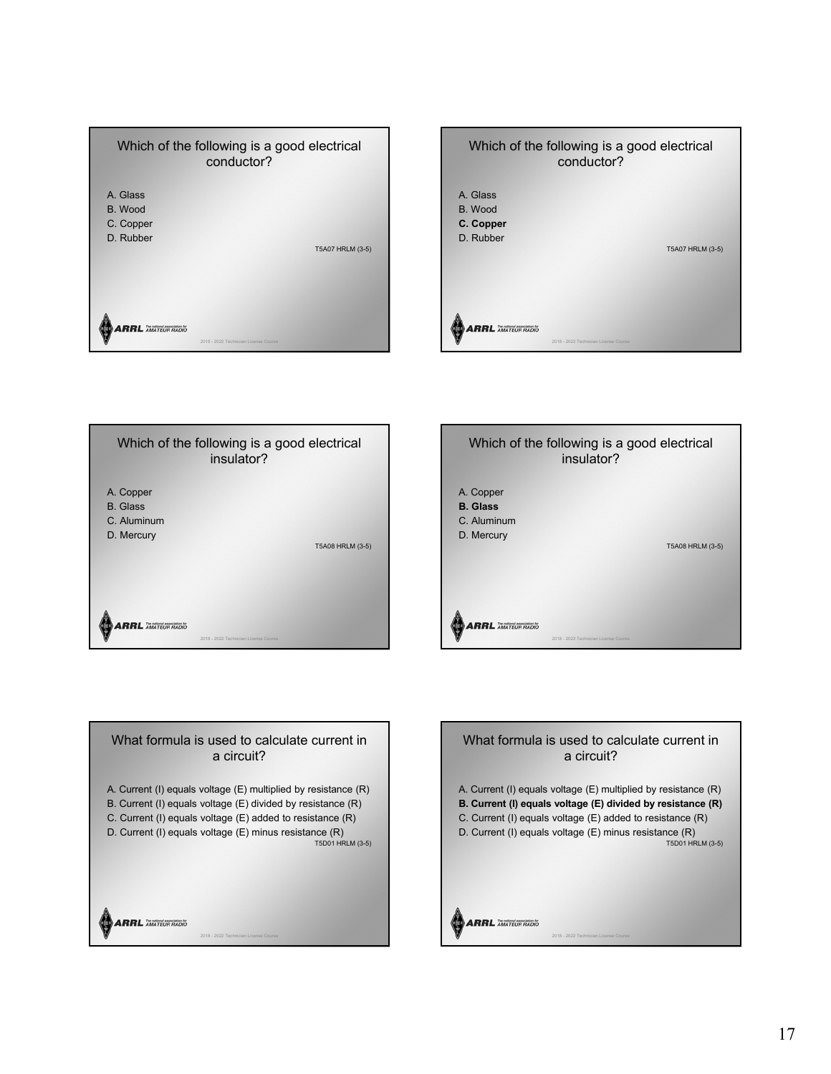









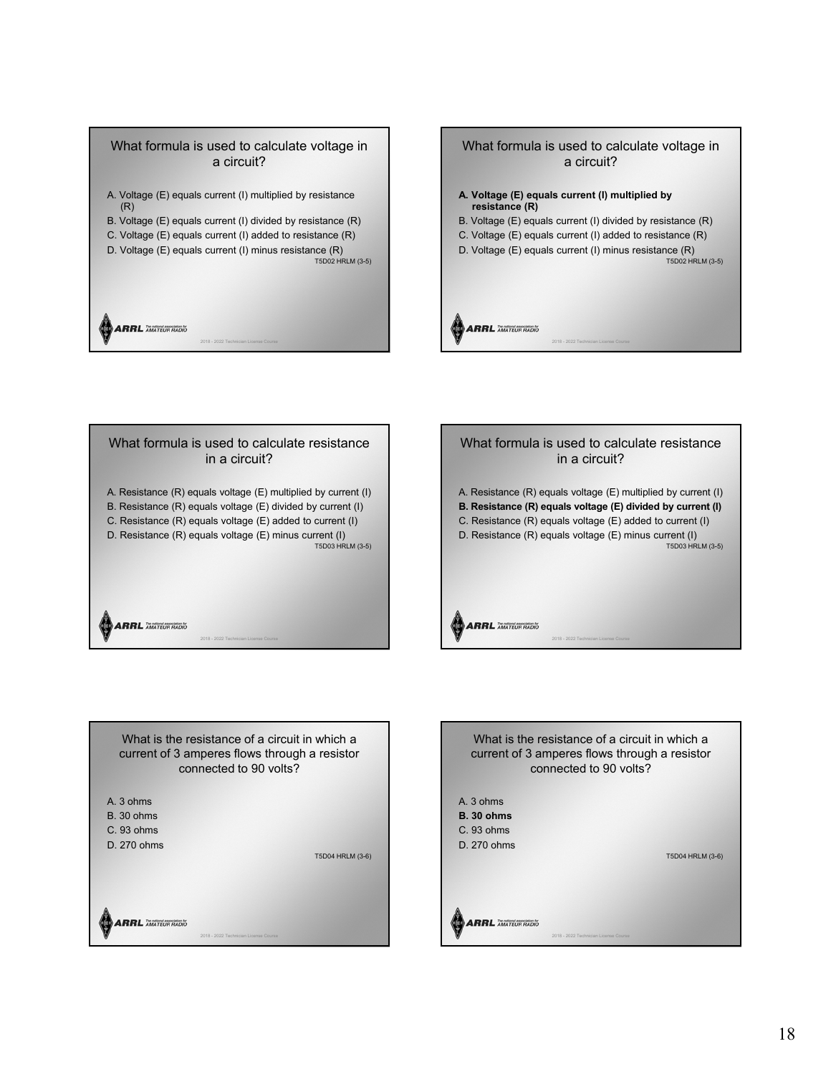







What is the resistance of a circuit in which a current of 3 amperes flows through a resistor connected to 90 volts?

A. 3 ohms

- B. 30 ohms
- C. 93 ohms D. 270 ohms

T5D04 HRLM (3-6)

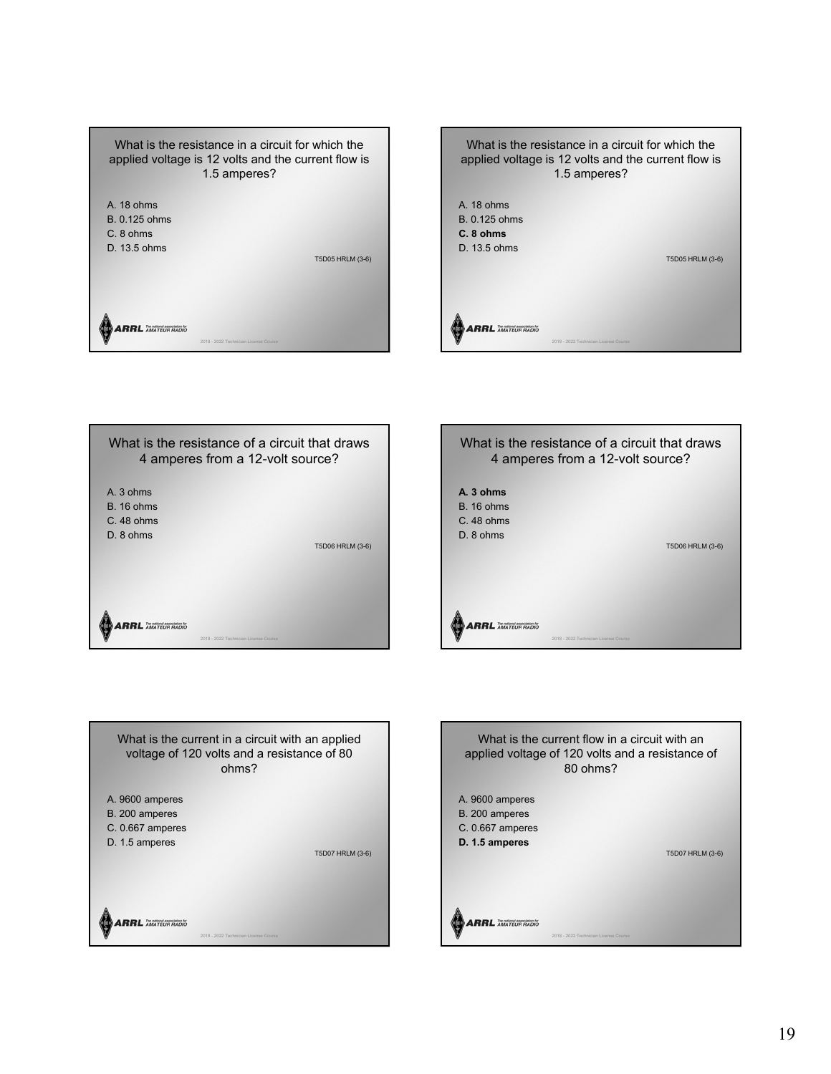









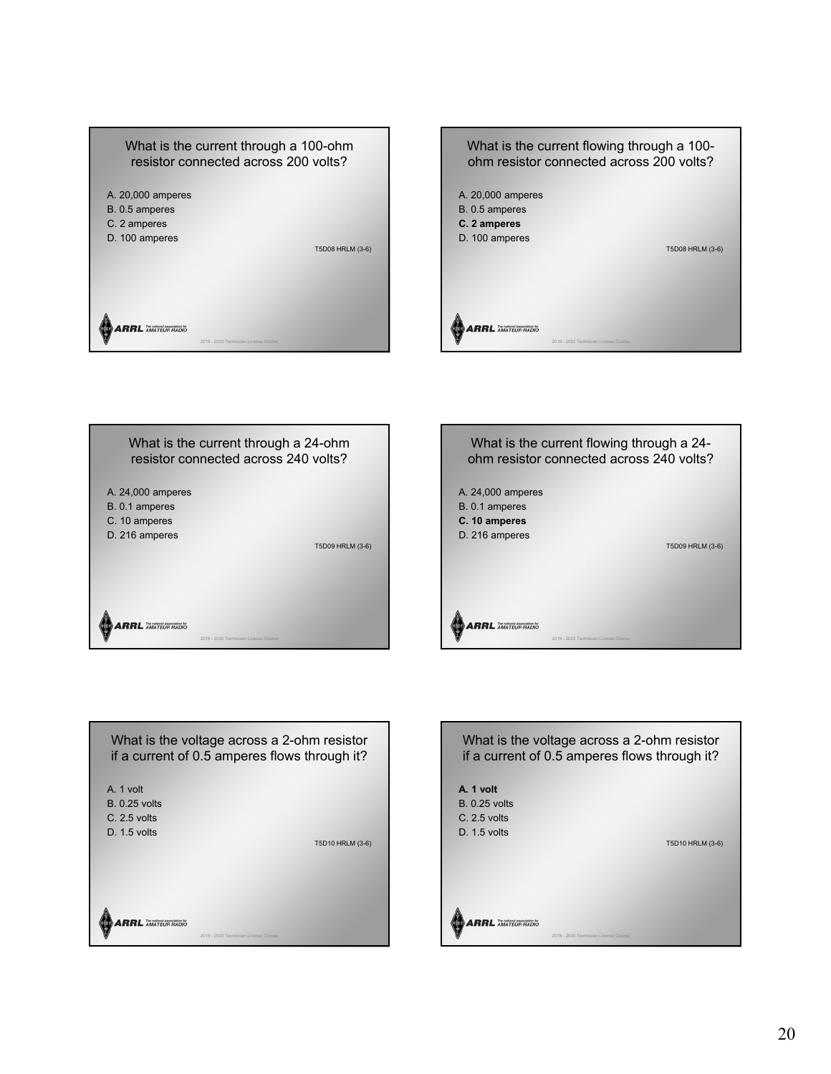





What is the voltage across a 2-ohm resistor if a current of 0.5 amperes flows through it? A. 1 volt B. 0.25 volts C. 2.5 volts D. 1.5 volts T5D10 HRLM (3-6) **ARRL AMATEUR RADIO** 

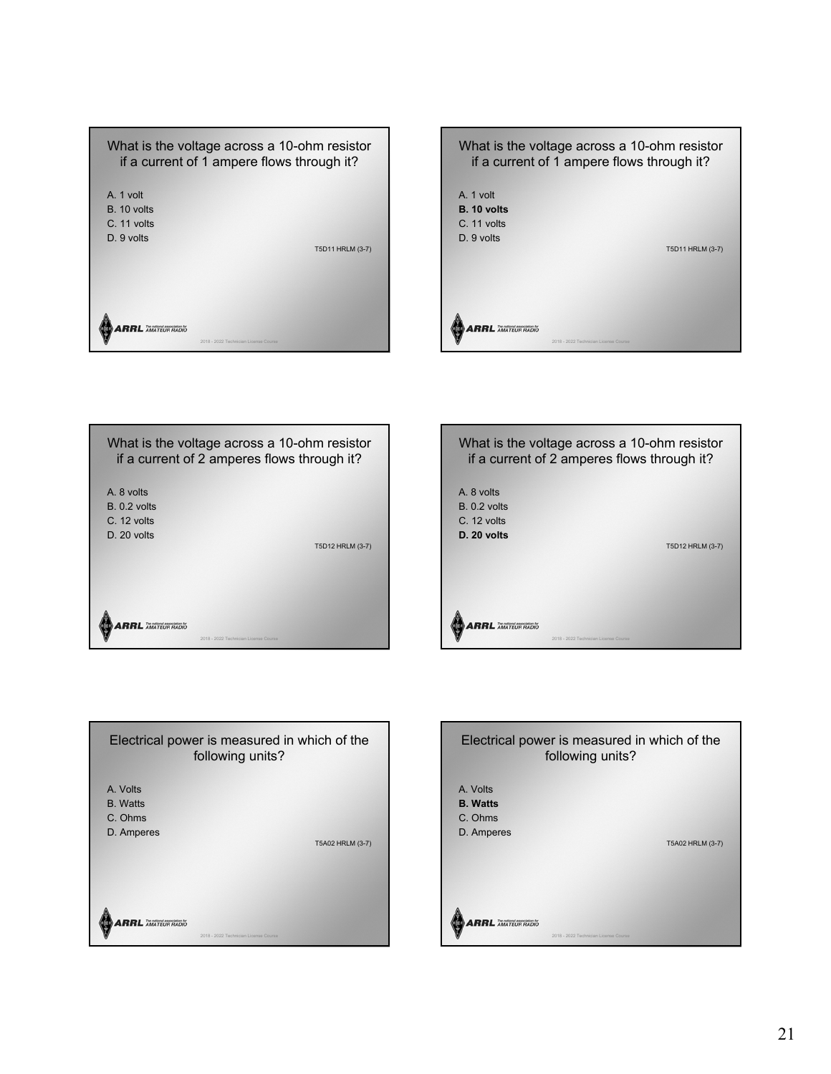









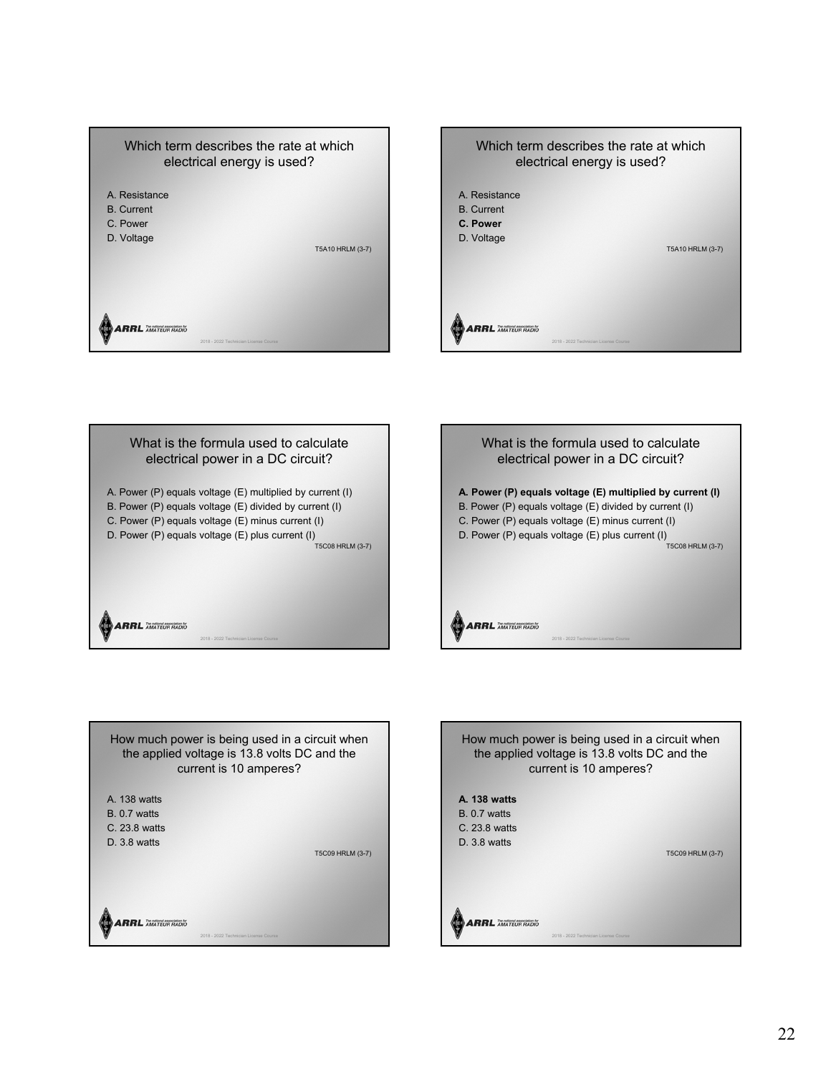









**ARRL AMATEUR RADIO** 

How much power is being used in a circuit when the applied voltage is 13.8 volts DC and the current is 10 amperes? **A. 138 watts** B. 0.7 watts C. 23.8 watts D. 3.8 watts T5C09 HRLM (3-7) **ARRL** AMATEUR RADIO 2018 - 2022 Technician License Course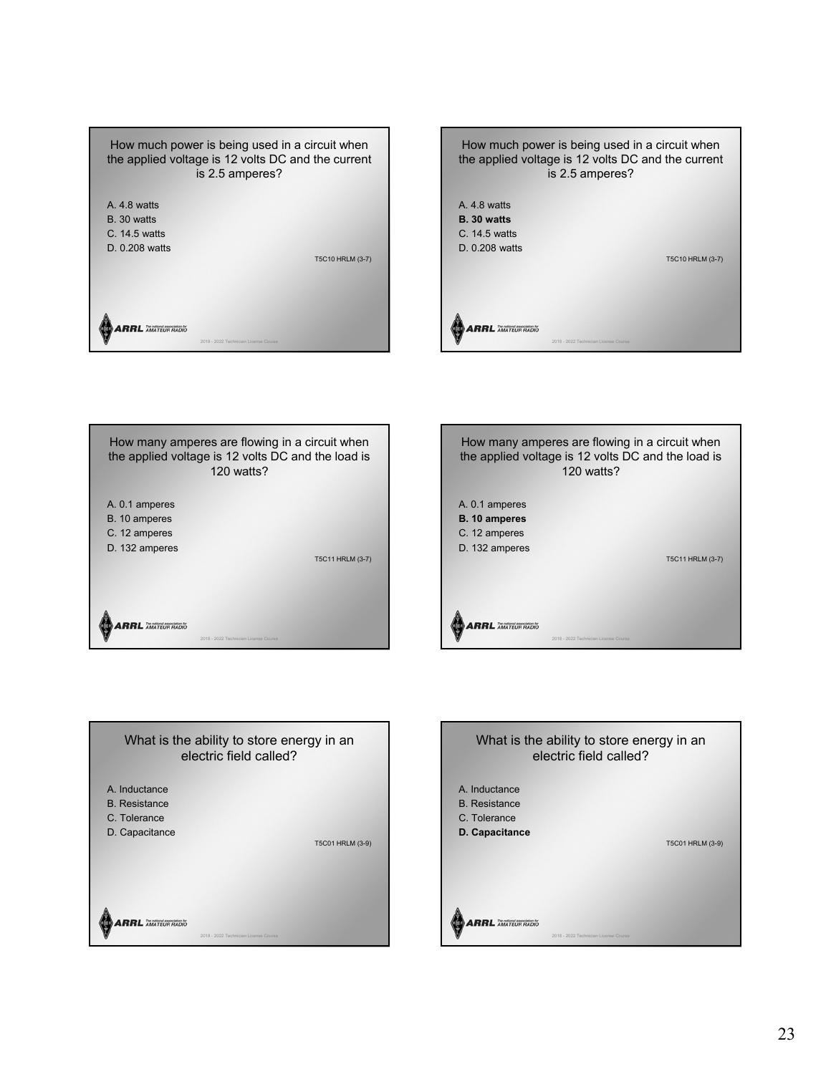









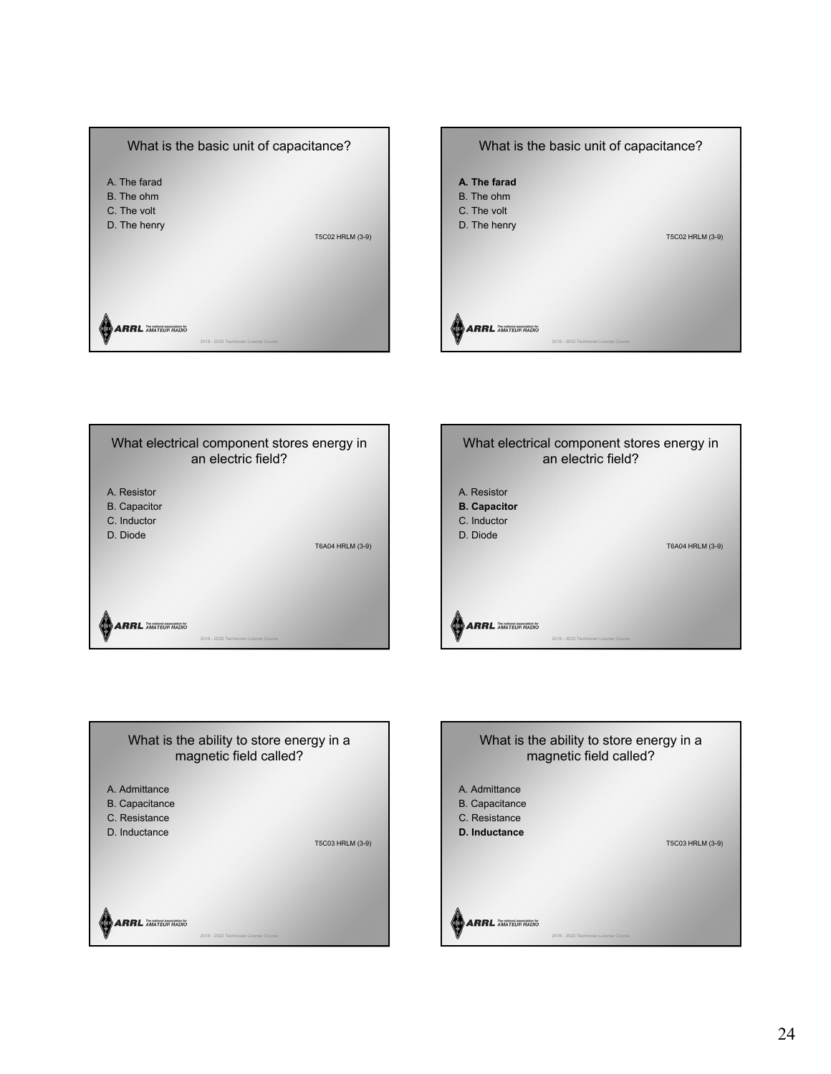









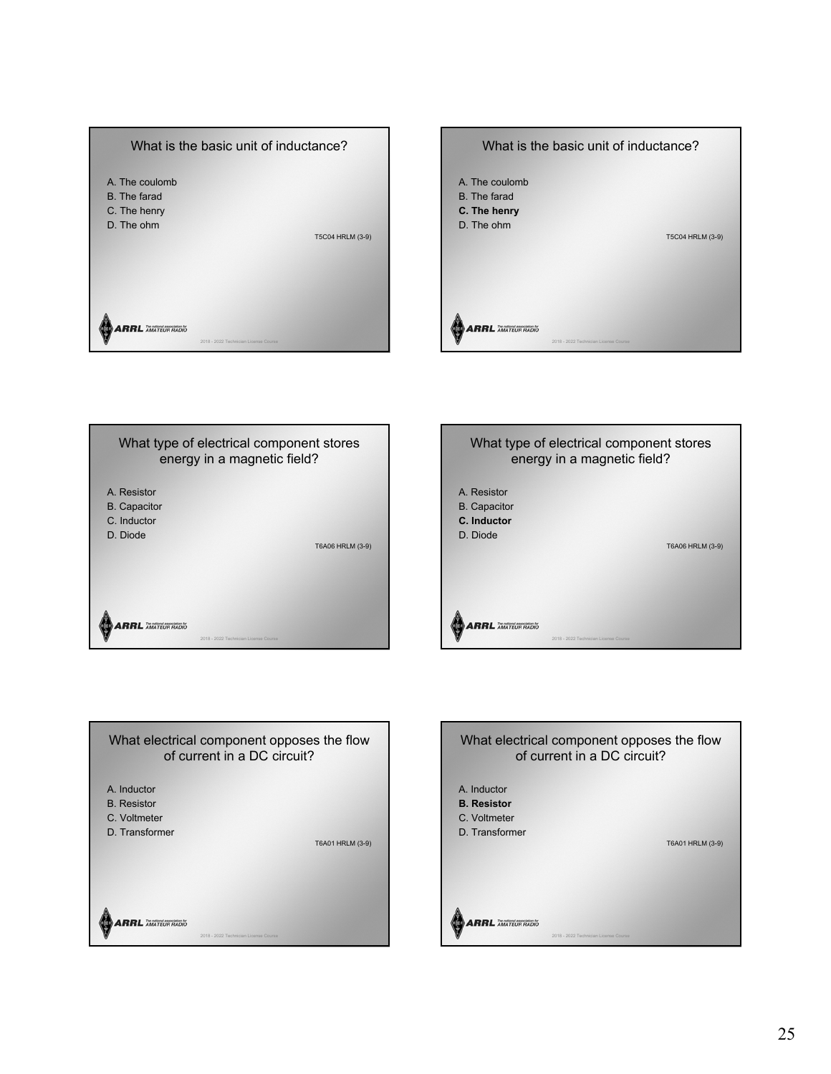









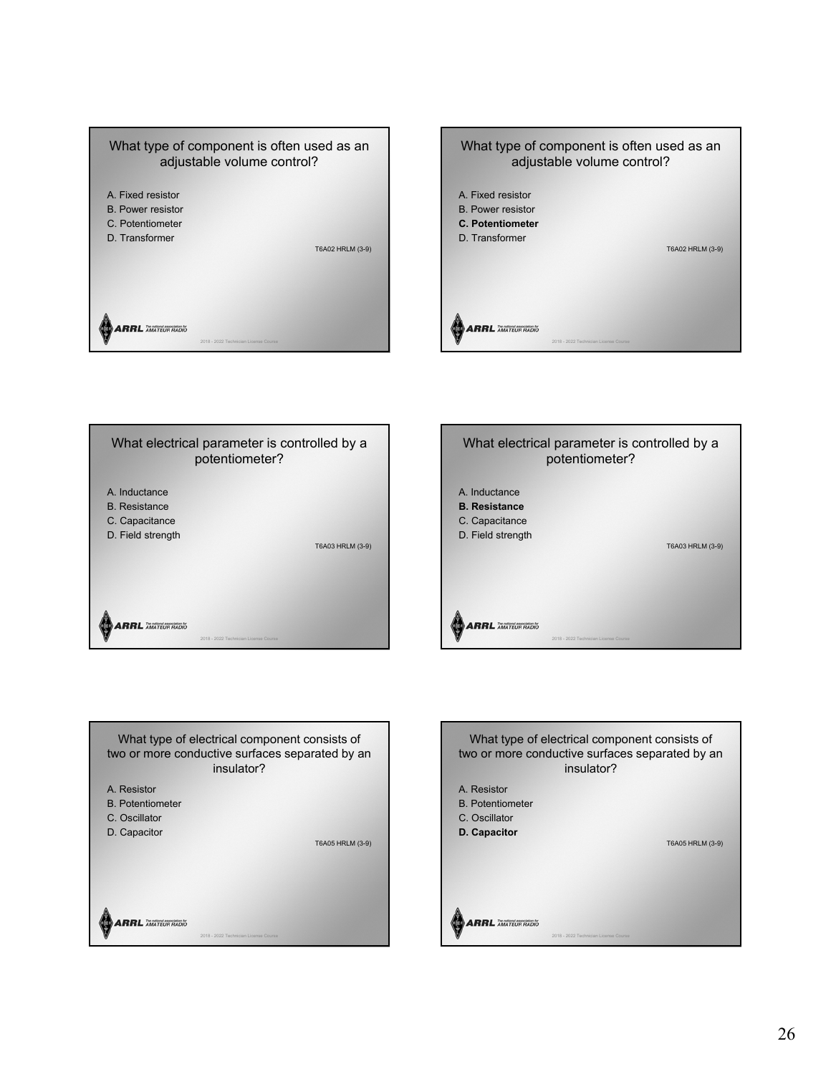









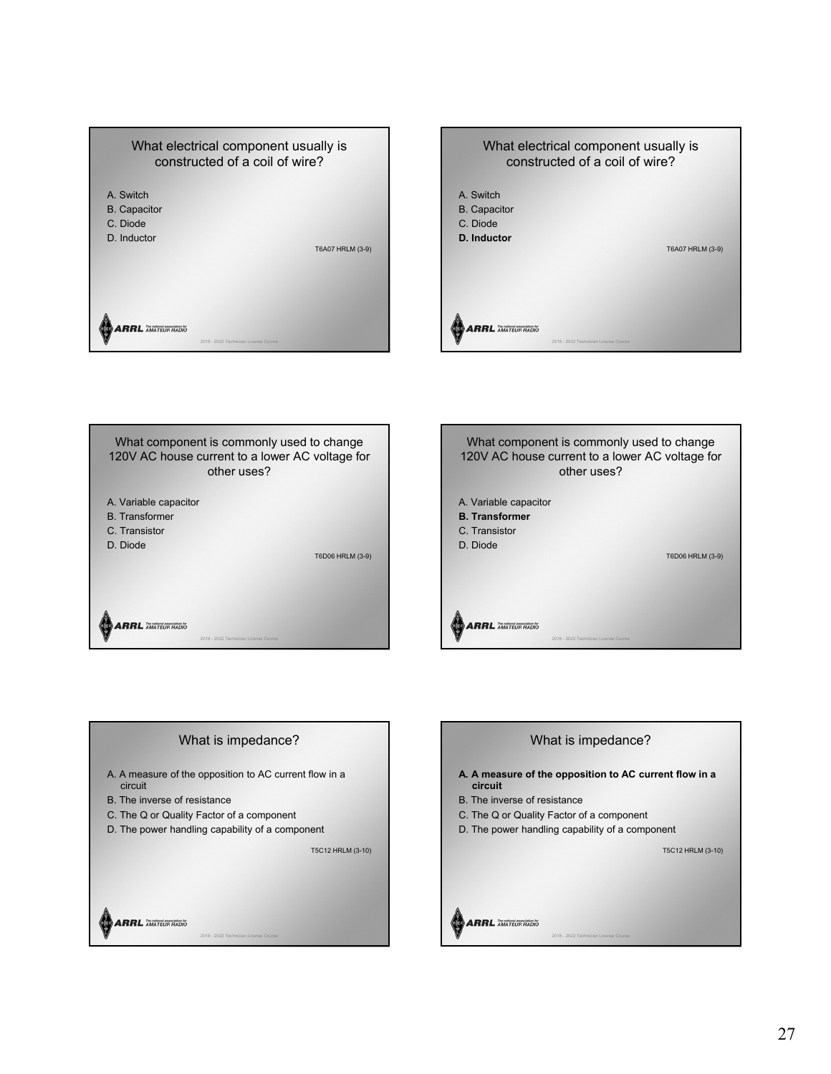



A. Variable capacitor B. Transformer C. Transistor D. Diode T6D06 HRLM (3-9) What component is commonly used to change 120V AC house current to a lower AC voltage for other uses?



# What is impedance?

2018 - 2022 Technician License Course

- A. A measure of the opposition to AC current flow in a circuit
- B. The inverse of resistance

**ARRL** AMATEUR RADIO

- C. The Q or Quality Factor of a component
- D. The power handling capability of a component

T5C12 HRLM (3-10)

**ARRL AMATEUR RADIO** 

# What is impedance? **A. A measure of the opposition to AC current flow in a circuit** B. The inverse of resistance C. The Q or Quality Factor of a component D. The power handling capability of a component T5C12 HRLM (3-10) **ARRL** AMATEUR RADIO

2018 - 2022 Technician License Course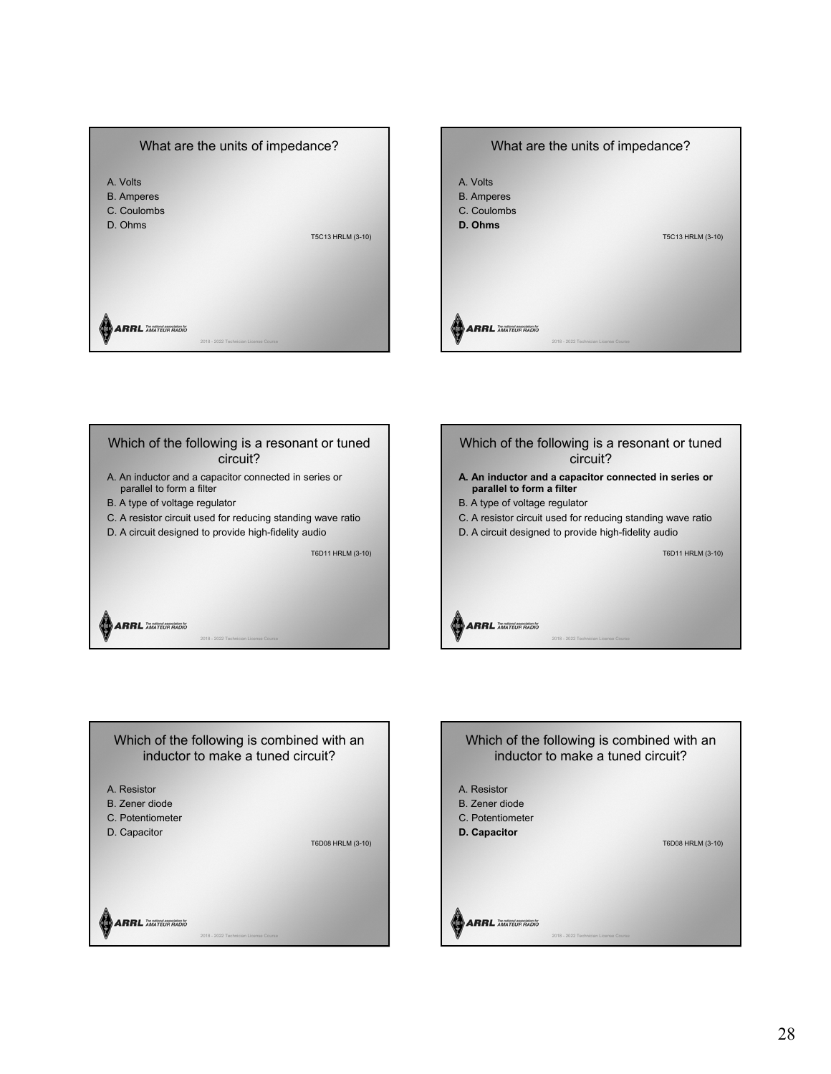









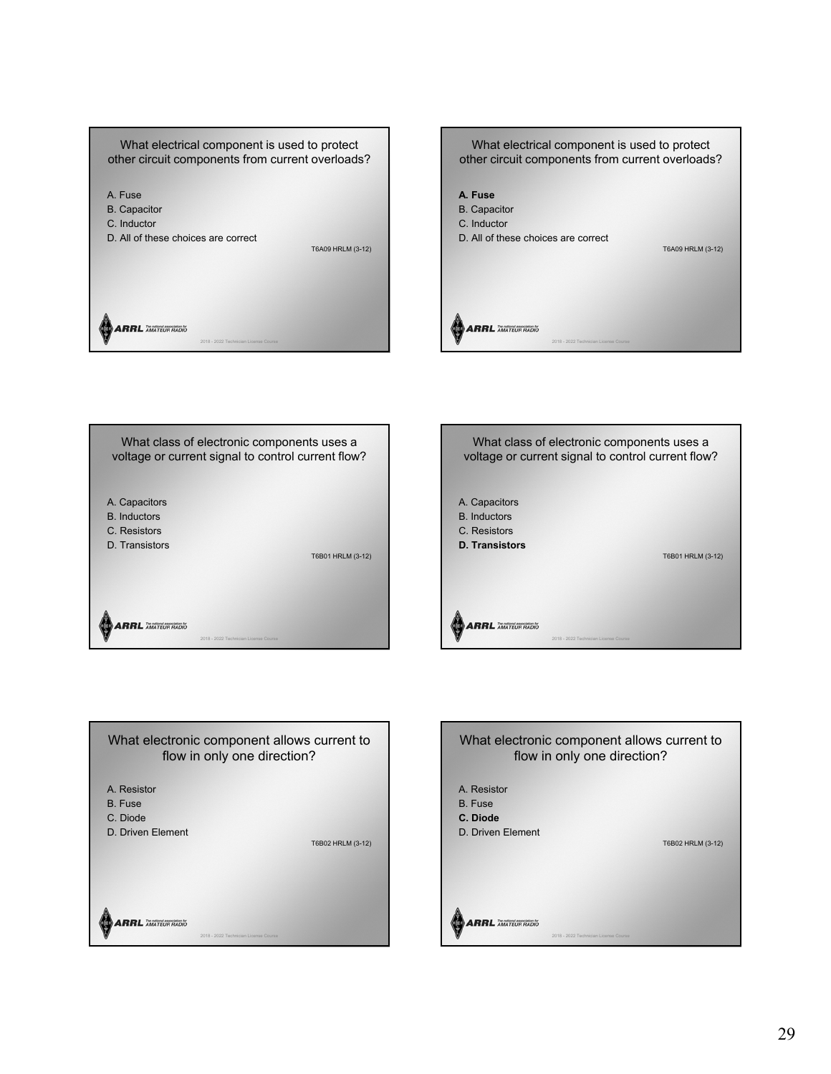

T6B01 HRLM (3-12)



T6A09 HRLM (3-12)



What class of electronic components uses a voltage or current signal to control current flow?

A. Capacitors B. Inductors C. Resistors D. Transistors

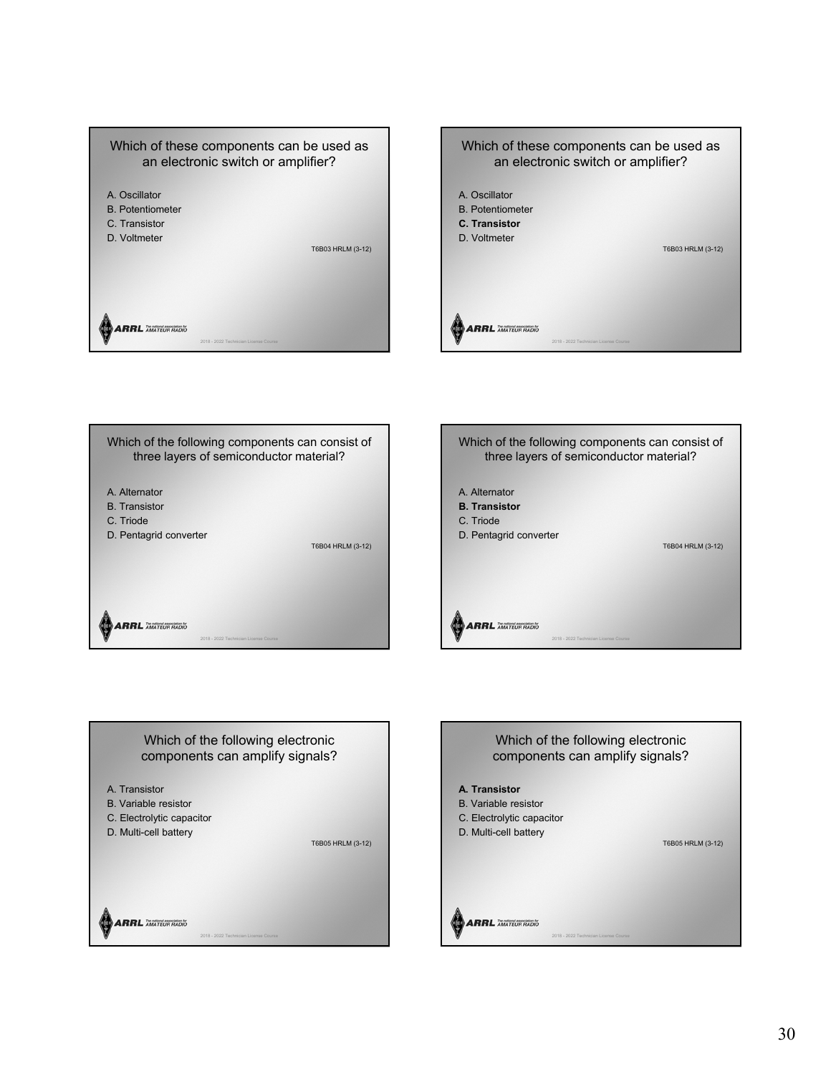



Which of the following components can consist of three layers of semiconductor material? A. Alternator B. Transistor C. Triode D. Pentagrid converter T6B04 HRLM (3-12) **ARRL** AMATEUR RADIO 2018 - 2022 Technician License Course





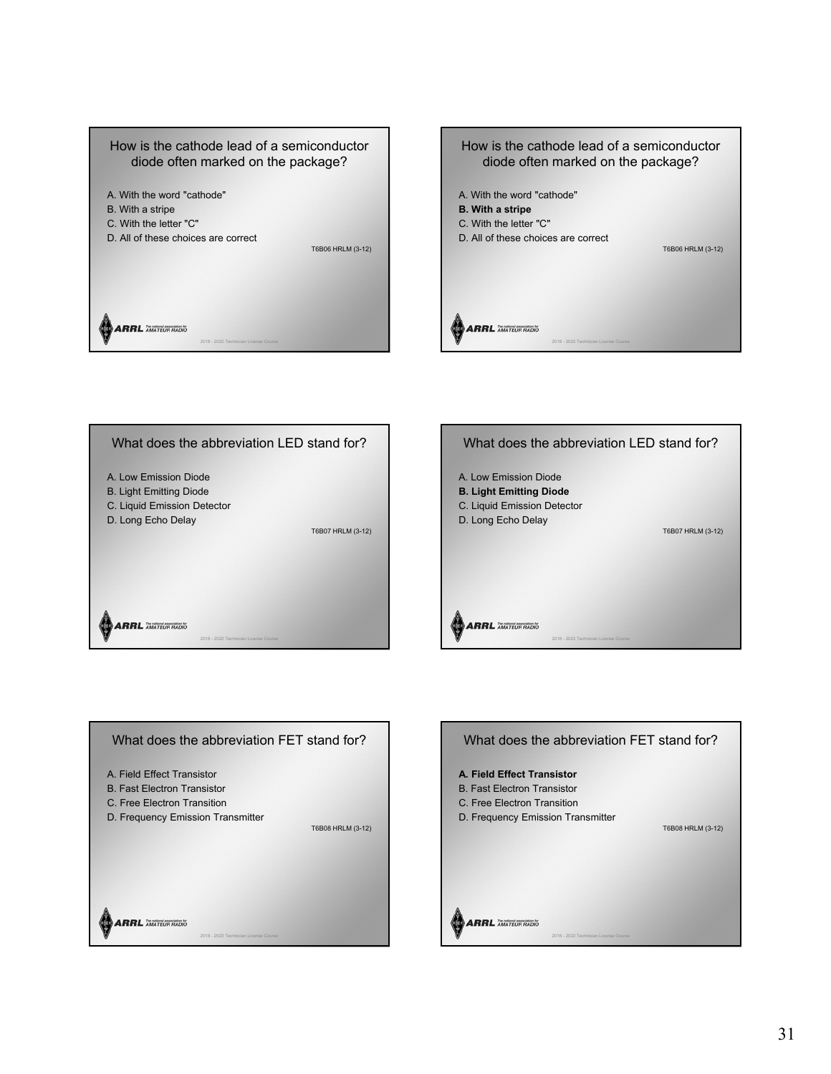



T6B07 HRLM (3-12)





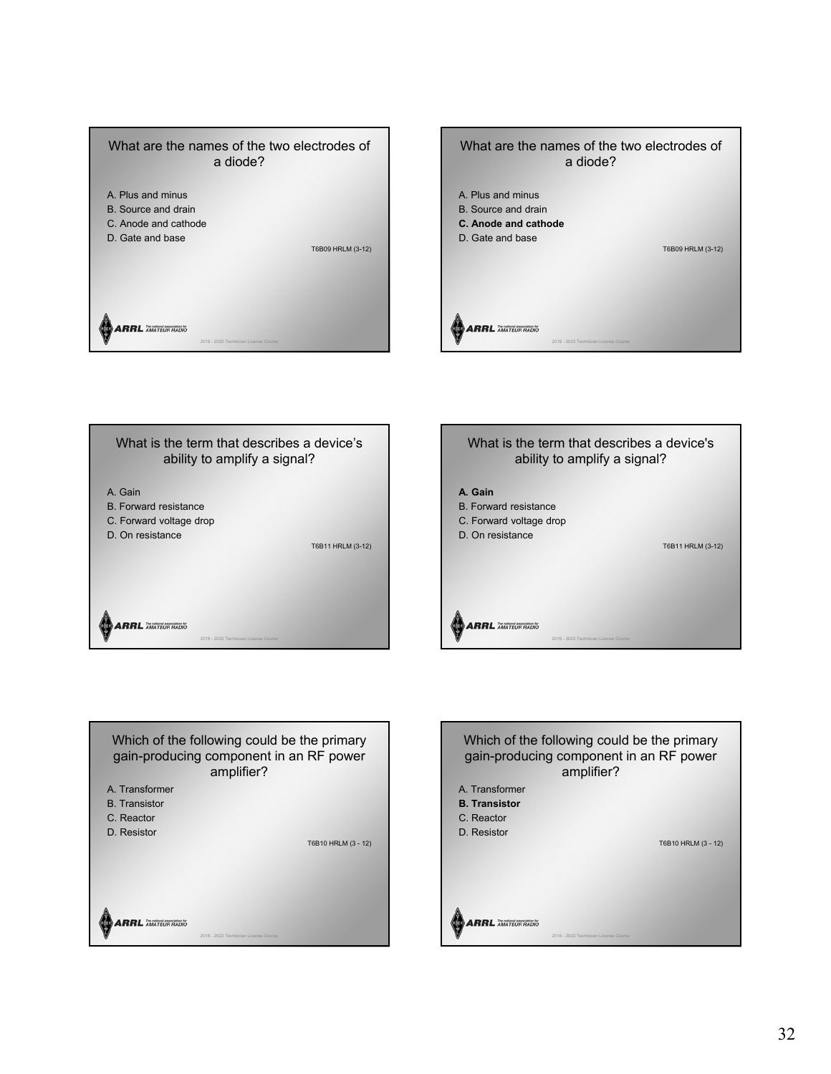









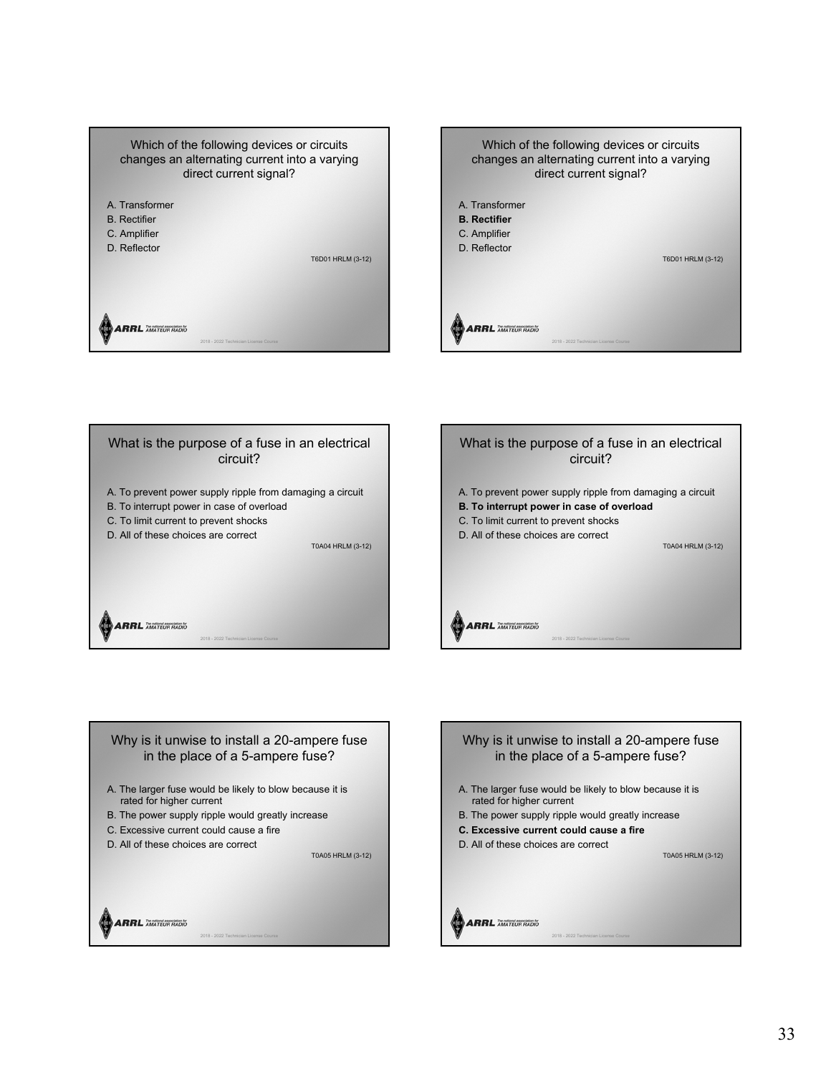









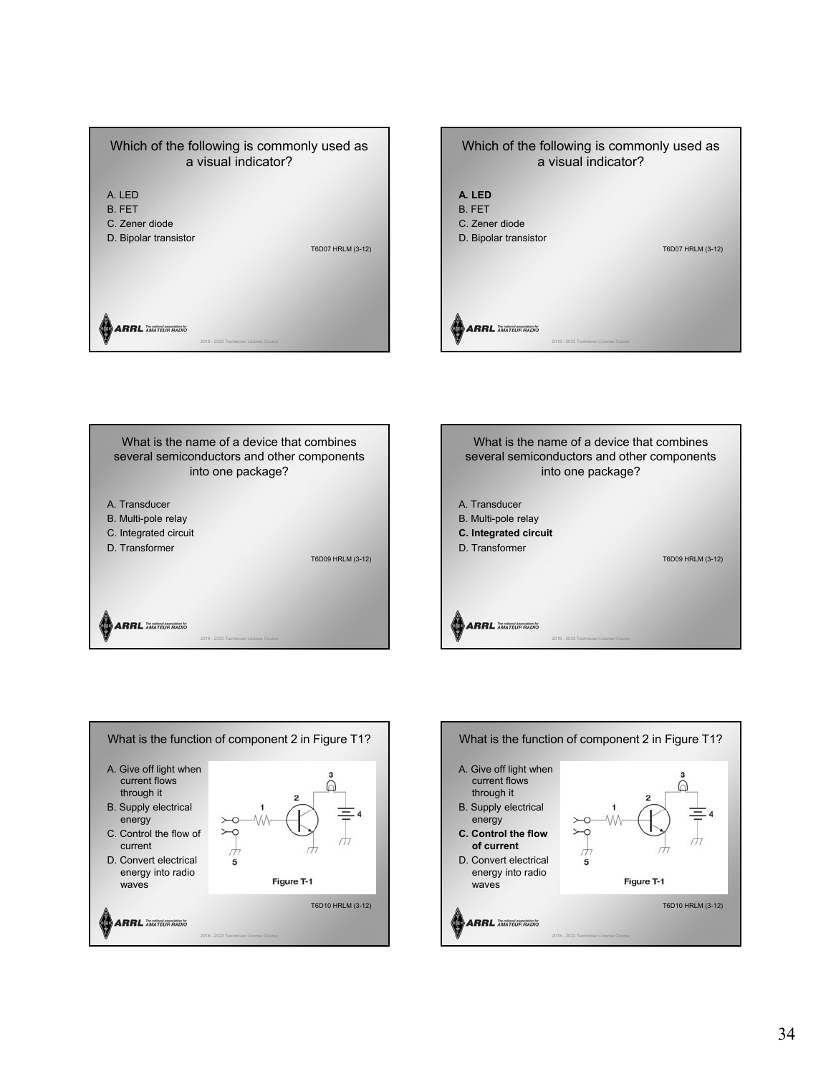



What is the name of a device that combines several semiconductors and other components into one package? A. Transducer B. Multi-pole relay C. Integrated circuit D. Transformer T6D09 HRLM (3-12) **ARRL** AMATEUR RADIO 2018 - 2022 Technician License Course





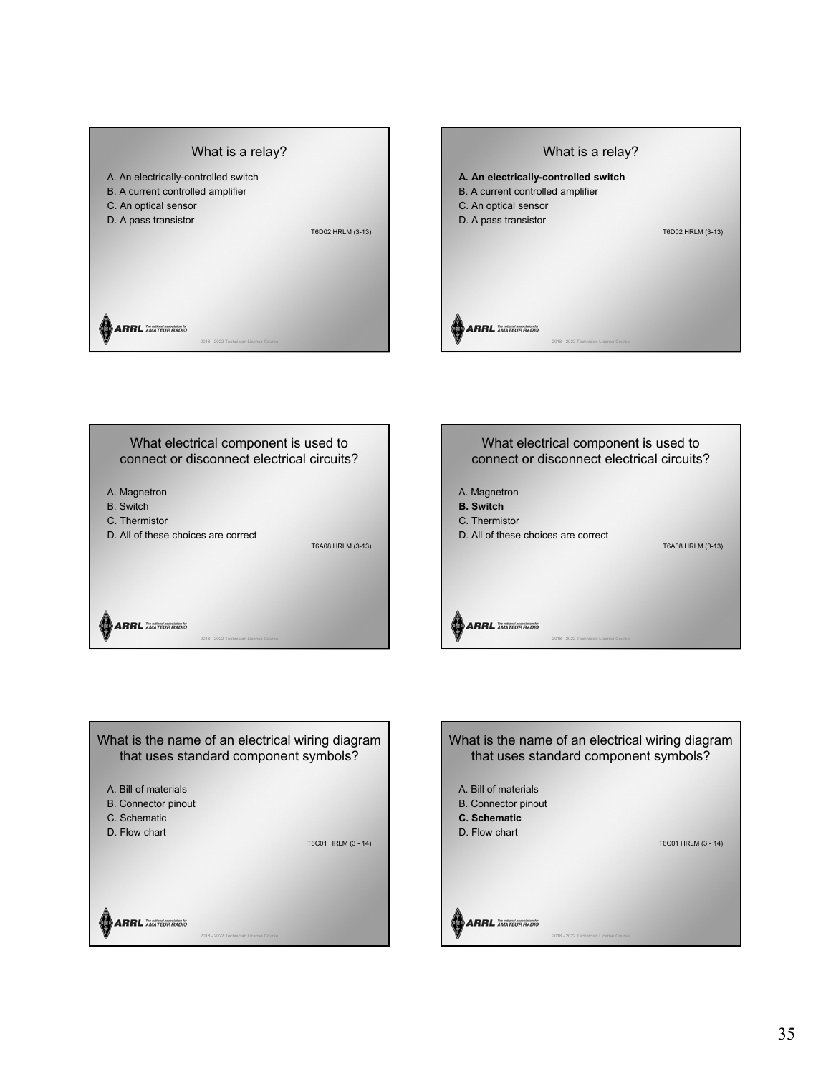





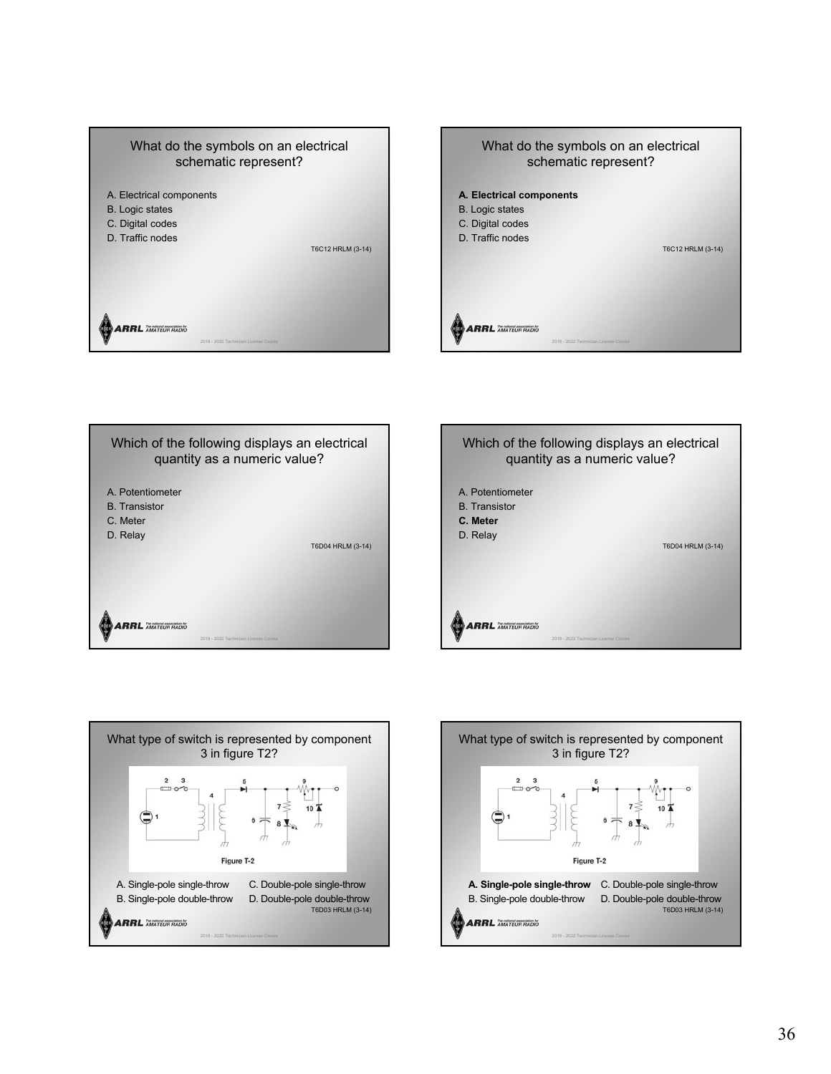







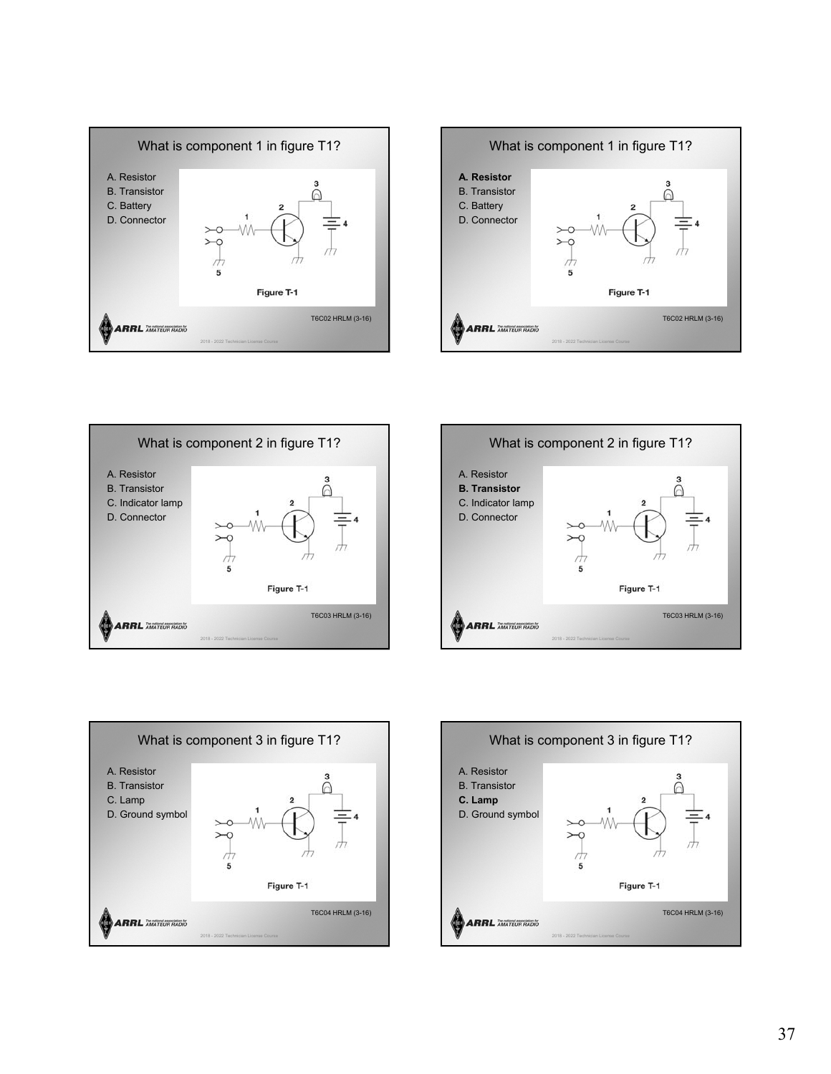









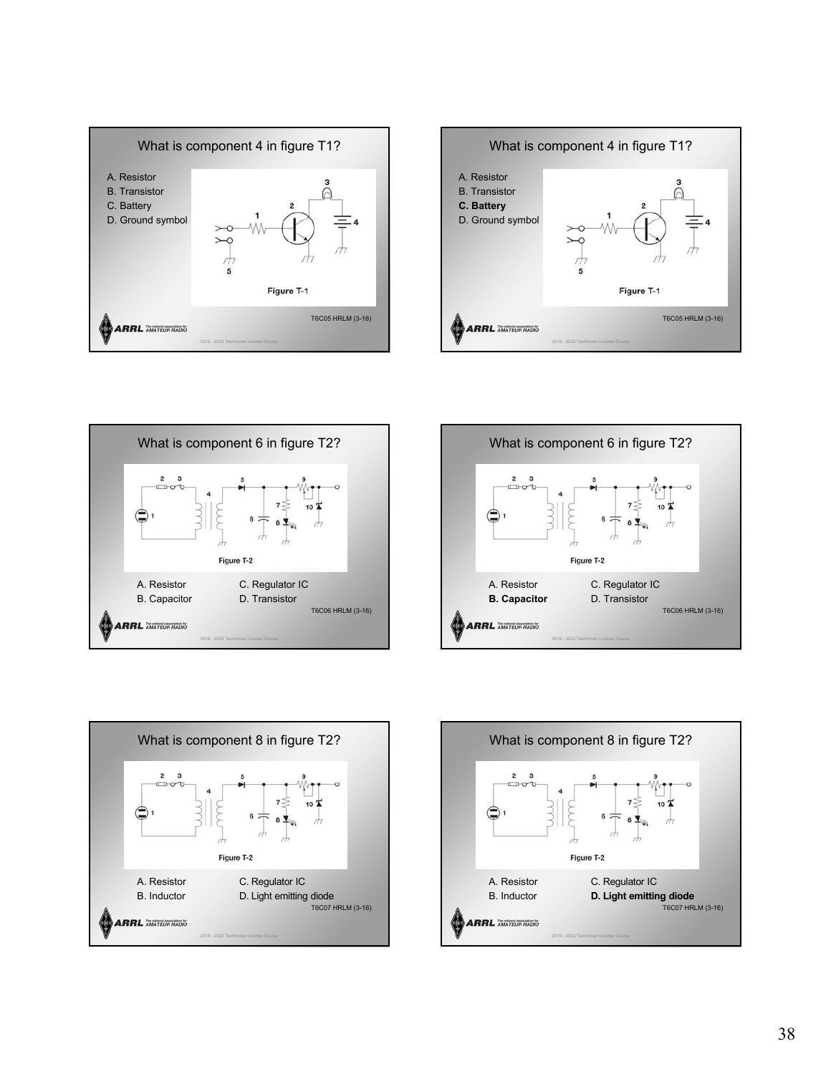









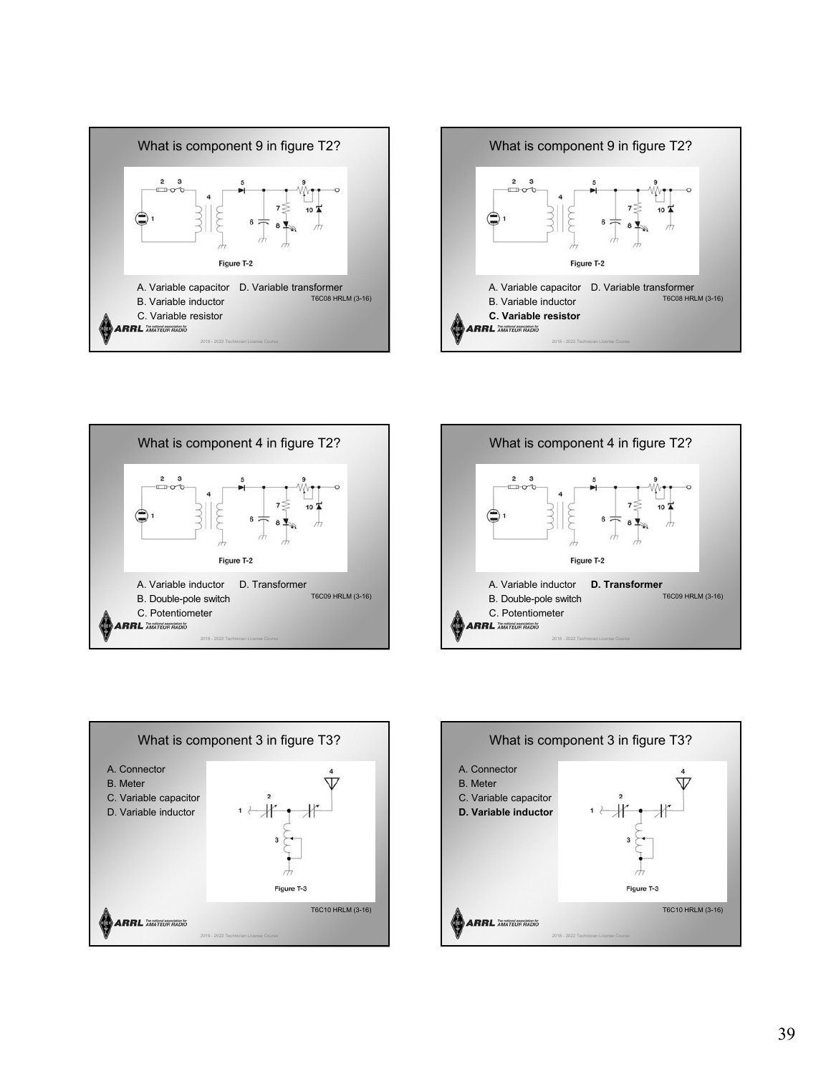









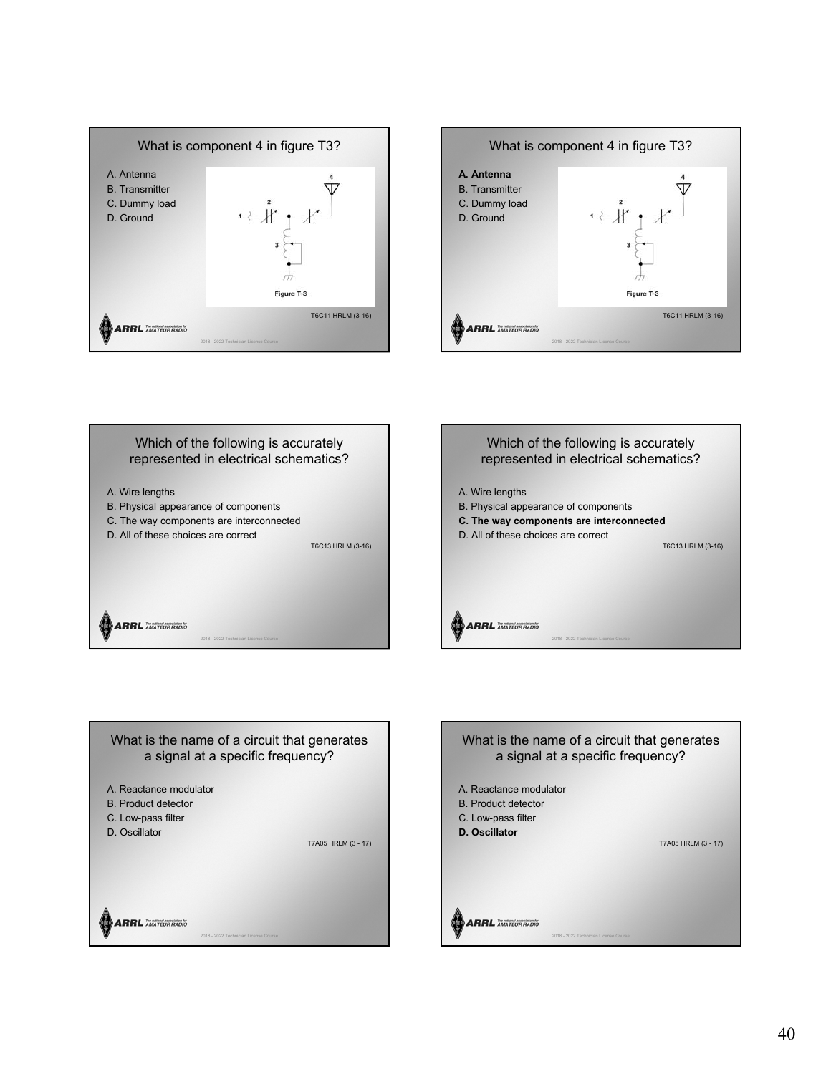